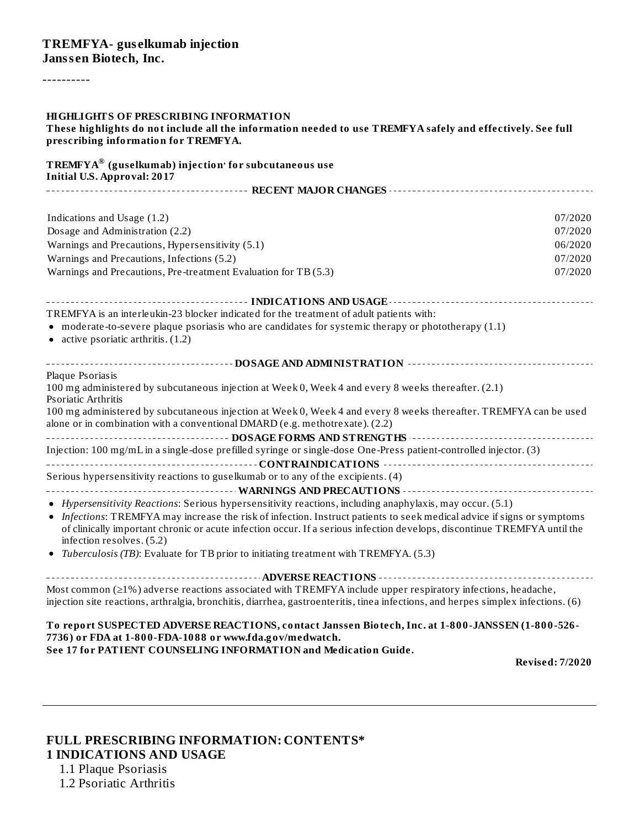----------

| HIGHLIGHTS OF PRESCRIBING INFORMATION<br>These highlights do not include all the information needed to use TREMFYA safely and effectively. See full<br>prescribing information for TREMFYA.                                                                                      |                        |
|----------------------------------------------------------------------------------------------------------------------------------------------------------------------------------------------------------------------------------------------------------------------------------|------------------------|
| <b>TREMFYA®</b> (guselkumab) injection' for subcutaneous use<br><b>Initial U.S. Approval: 2017</b>                                                                                                                                                                               |                        |
|                                                                                                                                                                                                                                                                                  |                        |
| Indications and Usage (1.2)                                                                                                                                                                                                                                                      | 07/2020                |
| Dosage and Administration (2.2)                                                                                                                                                                                                                                                  | 07/2020                |
| Warnings and Precautions, Hypersensitivity (5.1)                                                                                                                                                                                                                                 | 06/2020                |
| Warnings and Precautions, Infections (5.2)                                                                                                                                                                                                                                       | 07/2020                |
| Warnings and Precautions, Pre-treatment Evaluation for TB (5.3)                                                                                                                                                                                                                  | 07/2020                |
|                                                                                                                                                                                                                                                                                  |                        |
|                                                                                                                                                                                                                                                                                  |                        |
| TREMFYA is an interleukin-23 blocker indicated for the treatment of adult patients with:                                                                                                                                                                                         |                        |
| • moderate-to-severe plaque psoriasis who are candidates for systemic therapy or phototherapy (1.1)<br>$\bullet$ active psoriatic arthritis. $(1.2)$                                                                                                                             |                        |
|                                                                                                                                                                                                                                                                                  |                        |
| Plaque Psoriasis                                                                                                                                                                                                                                                                 |                        |
| 100 mg administered by subcutaneous injection at Week 0, Week 4 and every 8 weeks thereafter. (2.1)                                                                                                                                                                              |                        |
| Psoriatic Arthritis                                                                                                                                                                                                                                                              |                        |
| 100 mg administered by subcutaneous injection at Week 0, Week 4 and every 8 weeks thereafter. TREMFYA can be used<br>alone or in combination with a conventional DMARD (e.g. methotrexate). (2.2)                                                                                |                        |
|                                                                                                                                                                                                                                                                                  |                        |
| Injection: 100 mg/mL in a single-dose prefilled syringe or single-dose One-Press patient-controlled injector. (3)                                                                                                                                                                |                        |
|                                                                                                                                                                                                                                                                                  |                        |
| Serious hypersensitivity reactions to guselkumab or to any of the excipients. (4)                                                                                                                                                                                                |                        |
|                                                                                                                                                                                                                                                                                  |                        |
| • Hypersensitivity Reactions: Serious hypersensitivity reactions, including anaphylaxis, may occur. (5.1)                                                                                                                                                                        |                        |
| • Infections: TREMFYA may increase the risk of infection. Instruct patients to seek medical advice if signs or symptoms<br>of clinically important chronic or acute infection occur. If a serious infection develops, discontinue TREMFYA until the<br>infection resolves. (5.2) |                        |
| • Tuberculosis (TB): Evaluate for TB prior to initiating treatment with TREMFYA. (5.3)                                                                                                                                                                                           |                        |
| ------------------------------------- ADVERSE REACTIONS ----------------------------------                                                                                                                                                                                       |                        |
| Most common $(\geq 1\%)$ adverse reactions associated with TREMFYA include upper respiratory infections, headache,<br>injection site reactions, arthralgia, bronchitis, diarrhea, gastroenteritis, tinea infections, and herpes simplex infections. (6)                          |                        |
| To report SUSPECTED ADVERSE REACTIONS, contact Janssen Biotech, Inc. at 1-800-JANSSEN (1-800-526-<br>7736) or FDA at 1-800-FDA-1088 or www.fda.gov/medwatch.                                                                                                                     |                        |
| See 17 for PATIENT COUNSELING INFORMATION and Medication Guide.                                                                                                                                                                                                                  | <b>Revised: 7/2020</b> |
|                                                                                                                                                                                                                                                                                  |                        |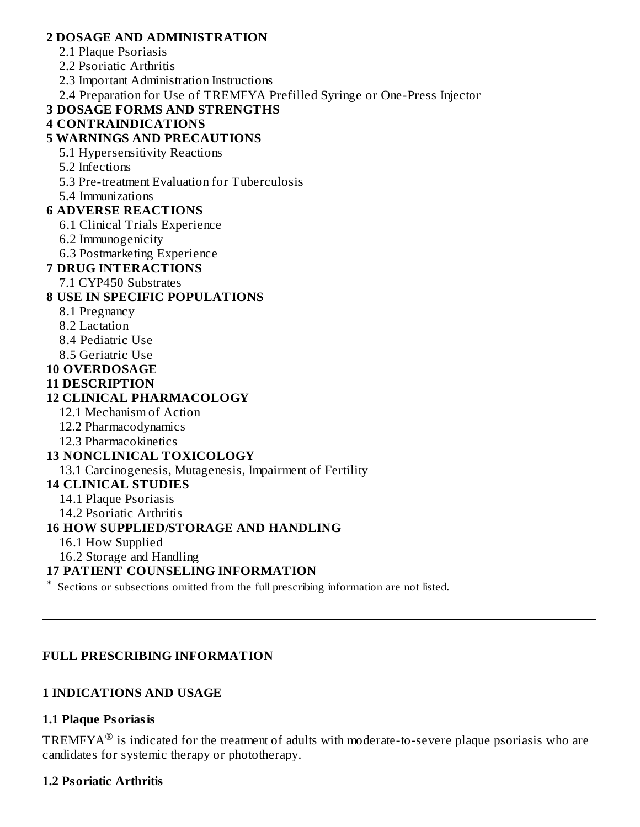#### **2 DOSAGE AND ADMINISTRATION**

- 2.1 Plaque Psoriasis
- 2.2 Psoriatic Arthritis
- 2.3 Important Administration Instructions
- 2.4 Preparation for Use of TREMFYA Prefilled Syringe or One-Press Injector

#### **3 DOSAGE FORMS AND STRENGTHS**

#### **4 CONTRAINDICATIONS**

#### **5 WARNINGS AND PRECAUTIONS**

- 5.1 Hypersensitivity Reactions
- 5.2 Infections
- 5.3 Pre-treatment Evaluation for Tuberculosis

5.4 Immunizations

#### **6 ADVERSE REACTIONS**

- 6.1 Clinical Trials Experience
- 6.2 Immunogenicity
- 6.3 Postmarketing Experience

#### **7 DRUG INTERACTIONS**

7.1 CYP450 Substrates

#### **8 USE IN SPECIFIC POPULATIONS**

- 8.1 Pregnancy
- 8.2 Lactation
- 8.4 Pediatric Use
- 8.5 Geriatric Use

#### **10 OVERDOSAGE**

**11 DESCRIPTION**

#### **12 CLINICAL PHARMACOLOGY**

- 12.1 Mechanism of Action
- 12.2 Pharmacodynamics
- 12.3 Pharmacokinetics

#### **13 NONCLINICAL TOXICOLOGY**

13.1 Carcinogenesis, Mutagenesis, Impairment of Fertility

## **14 CLINICAL STUDIES**

- 14.1 Plaque Psoriasis
- 14.2 Psoriatic Arthritis

#### **16 HOW SUPPLIED/STORAGE AND HANDLING**

- 16.1 How Supplied
- 16.2 Storage and Handling

#### **17 PATIENT COUNSELING INFORMATION**

\* Sections or subsections omitted from the full prescribing information are not listed.

#### **FULL PRESCRIBING INFORMATION**

#### **1 INDICATIONS AND USAGE**

#### **1.1 Plaque Psoriasis**

TREMFYA $^{\circledR}$  is indicated for the treatment of adults with moderate-to-severe plaque psoriasis who are candidates for systemic therapy or phototherapy.

#### **1.2 Psoriatic Arthritis**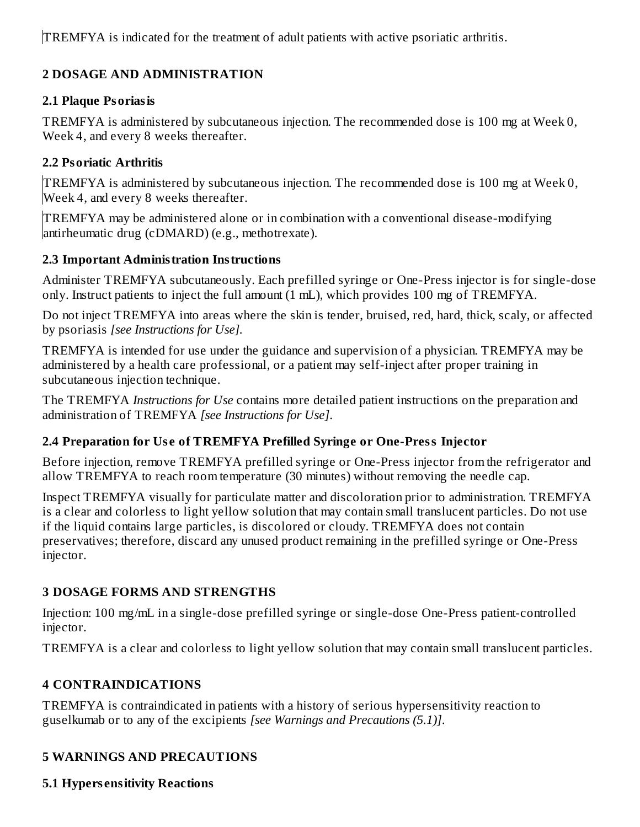TREMFYA is indicated for the treatment of adult patients with active psoriatic arthritis.

## **2 DOSAGE AND ADMINISTRATION**

## **2.1 Plaque Psoriasis**

TREMFYA is administered by subcutaneous injection. The recommended dose is 100 mg at Week 0, Week 4, and every 8 weeks thereafter.

## **2.2 Psoriatic Arthritis**

TREMFYA is administered by subcutaneous injection. The recommended dose is 100 mg at Week 0, Week 4, and every 8 weeks thereafter.

TREMFYA may be administered alone or in combination with a conventional disease-modifying antirheumatic drug (cDMARD) (e.g., methotrexate).

## **2.3 Important Administration Instructions**

Administer TREMFYA subcutaneously. Each prefilled syringe or One-Press injector is for single-dose only. Instruct patients to inject the full amount (1 mL), which provides 100 mg of TREMFYA.

Do not inject TREMFYA into areas where the skin is tender, bruised, red, hard, thick, scaly, or affected by psoriasis *[see Instructions for Use].*

TREMFYA is intended for use under the guidance and supervision of a physician. TREMFYA may be administered by a health care professional, or a patient may self-inject after proper training in subcutaneous injection technique.

The TREMFYA *Instructions for Use* contains more detailed patient instructions on the preparation and administration of TREMFYA *[see Instructions for Use]*.

## **2.4 Preparation for Us e of TREMFYA Prefilled Syringe or One-Press Injector**

Before injection, remove TREMFYA prefilled syringe or One-Press injector from the refrigerator and allow TREMFYA to reach room temperature (30 minutes) without removing the needle cap.

Inspect TREMFYA visually for particulate matter and discoloration prior to administration. TREMFYA is a clear and colorless to light yellow solution that may contain small translucent particles. Do not use if the liquid contains large particles, is discolored or cloudy. TREMFYA does not contain preservatives; therefore, discard any unused product remaining in the prefilled syringe or One-Press injector.

## **3 DOSAGE FORMS AND STRENGTHS**

Injection: 100 mg/mL in a single-dose prefilled syringe or single-dose One-Press patient-controlled injector.

TREMFYA is a clear and colorless to light yellow solution that may contain small translucent particles.

## **4 CONTRAINDICATIONS**

TREMFYA is contraindicated in patients with a history of serious hypersensitivity reaction to guselkumab or to any of the excipients *[see Warnings and Precautions (5.1)]*.

## **5 WARNINGS AND PRECAUTIONS**

**5.1 Hypers ensitivity Reactions**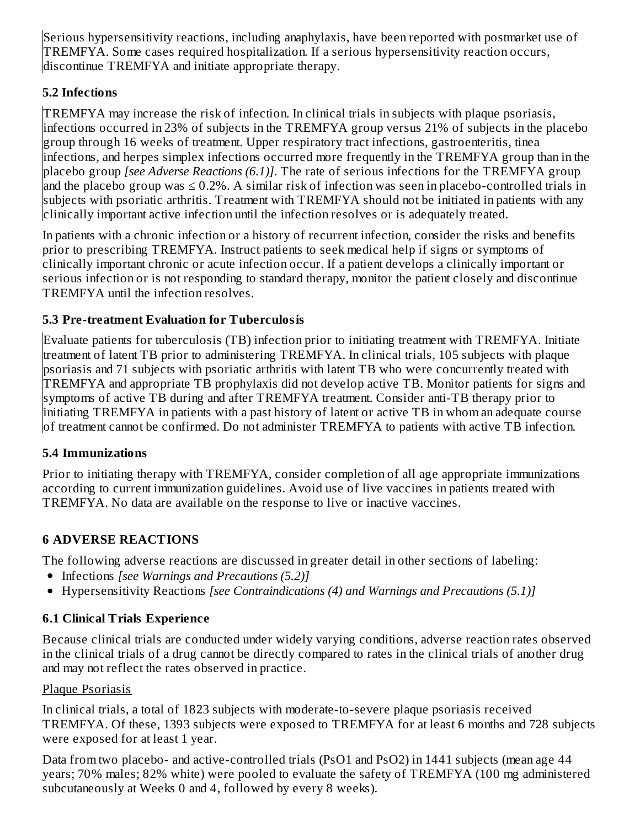Serious hypersensitivity reactions, including anaphylaxis, have been reported with postmarket use of TREMFYA. Some cases required hospitalization. If a serious hypersensitivity reaction occurs, discontinue TREMFYA and initiate appropriate therapy.

## **5.2 Infections**

TREMFYA may increase the risk of infection. In clinical trials in subjects with plaque psoriasis, infections occurred in 23% of subjects in the TREMFYA group versus 21% of subjects in the placebo group through 16 weeks of treatment. Upper respiratory tract infections, gastroenteritis, tinea infections, and herpes simplex infections occurred more frequently in the TREMFYA group than in the placebo group *[see Adverse Reactions (6.1)]*. The rate of serious infections for the TREMFYA group and the placebo group was  $\leq 0.2\%$ . A similar risk of infection was seen in placebo-controlled trials in subjects with psoriatic arthritis. Treatment with TREMFYA should not be initiated in patients with any clinically important active infection until the infection resolves or is adequately treated.

In patients with a chronic infection or a history of recurrent infection, consider the risks and benefits prior to prescribing TREMFYA. Instruct patients to seek medical help if signs or symptoms of clinically important chronic or acute infection occur. If a patient develops a clinically important or serious infection or is not responding to standard therapy, monitor the patient closely and discontinue TREMFYA until the infection resolves.

## **5.3 Pre-treatment Evaluation for Tuberculosis**

Evaluate patients for tuberculosis (TB) infection prior to initiating treatment with TREMFYA. Initiate treatment of latent TB prior to administering TREMFYA. In clinical trials, 105 subjects with plaque psoriasis and 71 subjects with psoriatic arthritis with latent TB who were concurrently treated with TREMFYA and appropriate TB prophylaxis did not develop active TB. Monitor patients for signs and symptoms of active TB during and after TREMFYA treatment. Consider anti-TB therapy prior to initiating TREMFYA in patients with a past history of latent or active TB in whom an adequate course of treatment cannot be confirmed. Do not administer TREMFYA to patients with active TB infection.

## **5.4 Immunizations**

Prior to initiating therapy with TREMFYA, consider completion of all age appropriate immunizations according to current immunization guidelines. Avoid use of live vaccines in patients treated with TREMFYA. No data are available on the response to live or inactive vaccines.

## **6 ADVERSE REACTIONS**

The following adverse reactions are discussed in greater detail in other sections of labeling:

- Infections *[see Warnings and Precautions (5.2)]*
- Hypersensitivity Reactions *[see Contraindications (4) and Warnings and Precautions (5.1)]*

## **6.1 Clinical Trials Experience**

Because clinical trials are conducted under widely varying conditions, adverse reaction rates observed in the clinical trials of a drug cannot be directly compared to rates in the clinical trials of another drug and may not reflect the rates observed in practice.

## Plaque Psoriasis

In clinical trials, a total of 1823 subjects with moderate-to-severe plaque psoriasis received TREMFYA. Of these, 1393 subjects were exposed to TREMFYA for at least 6 months and 728 subjects were exposed for at least 1 year.

Data from two placebo- and active-controlled trials (PsO1 and PsO2) in 1441 subjects (mean age 44 years; 70% males; 82% white) were pooled to evaluate the safety of TREMFYA (100 mg administered subcutaneously at Weeks 0 and 4, followed by every 8 weeks).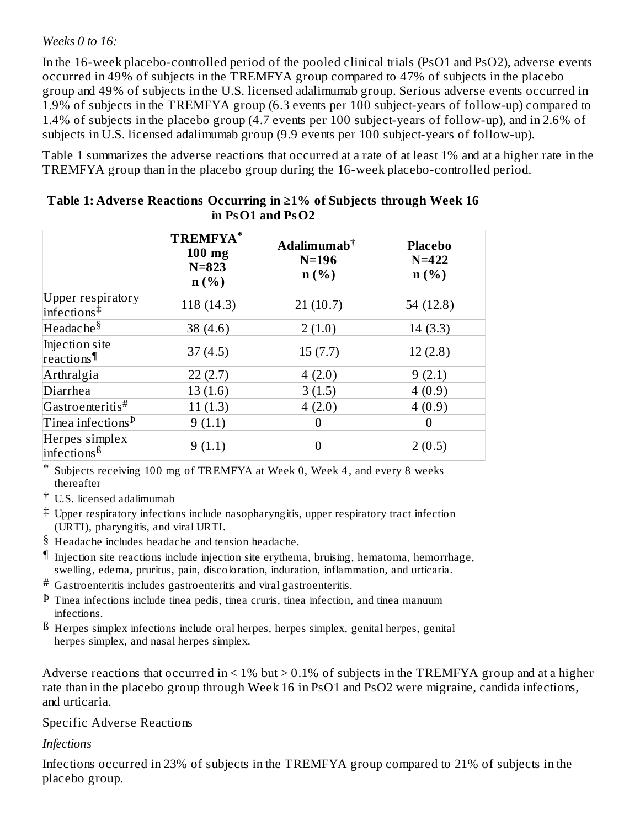#### *Weeks 0 to 16:*

In the 16-week placebo-controlled period of the pooled clinical trials (PsO1 and PsO2), adverse events occurred in 49% of subjects in the TREMFYA group compared to 47% of subjects in the placebo group and 49% of subjects in the U.S. licensed adalimumab group. Serious adverse events occurred in 1.9% of subjects in the TREMFYA group (6.3 events per 100 subject-years of follow-up) compared to 1.4% of subjects in the placebo group (4.7 events per 100 subject-years of follow-up), and in 2.6% of subjects in U.S. licensed adalimumab group (9.9 events per 100 subject-years of follow-up).

Table 1 summarizes the adverse reactions that occurred at a rate of at least 1% and at a higher rate in the TREMFYA group than in the placebo group during the 16-week placebo-controlled period.

|                                                            | TREMFYA*<br>100 mg<br>$N = 823$<br>$n(\%)$ | Adalimumab <sup>†</sup><br>$N=196$<br>$n$ (%) | <b>Placebo</b><br>$N = 422$<br>n(%) |
|------------------------------------------------------------|--------------------------------------------|-----------------------------------------------|-------------------------------------|
| <b>Upper respiratory</b><br>$\text{infections}^{\ddagger}$ | 118 (14.3)                                 | 21(10.7)                                      | 54 (12.8)                           |
| Headache <sup>§</sup>                                      | 38 $(4.6)$                                 | 2(1.0)                                        | 14(3.3)                             |
| Injection site<br>reactions                                | 37(4.5)                                    | 15(7.7)                                       | 12(2.8)                             |
| Arthralgia                                                 | 22(2.7)                                    | 4(2.0)                                        | 9(2.1)                              |
| Diarrhea                                                   | 13(1.6)                                    | 3(1.5)                                        | 4(0.9)                              |
| Gastroenteritis#                                           | 11(1.3)                                    | 4(2.0)                                        | 4(0.9)                              |
| Tinea infections $^{\text{\textsf{D}}}$                    | 9(1.1)                                     | 0                                             | $\theta$                            |
| Herpes simplex<br>infections <sup>ß</sup>                  | 9(1.1)                                     | 0                                             | 2(0.5)                              |

#### **Table 1: Advers e Reactions Occurring in ≥1% of Subjects through Week 16 in PsO1 and PsO2**

\* Subjects receiving 100 mg of TREMFYA at Week 0, Week 4 , and every 8 weeks thereafter

- † U.S. licensed adalimumab
- ‡ Upper respiratory infections include nasopharyngitis, upper respiratory tract infection (URTI), pharyngitis, and viral URTI.
- § Headache includes headache and tension headache.
- ¶ Injection site reactions include injection site erythema, bruising, hematoma, hemorrhage, swelling, edema, pruritus, pain, discoloration, induration, inflammation, and urticaria.
- # Gastroenteritis includes gastroenteritis and viral gastroenteritis.
- Þ Tinea infections include tinea pedis, tinea cruris, tinea infection, and tinea manuum infections.
- $^{\text{B}}$  Herpes simplex infections include oral herpes, herpes simplex, genital herpes, genital herpes simplex, and nasal herpes simplex.

Adverse reactions that occurred in  $\leq 1\%$  but  $\geq 0.1\%$  of subjects in the TREMFYA group and at a higher rate than in the placebo group through Week 16 in PsO1 and PsO2 were migraine, candida infections, and urticaria.

#### Specific Adverse Reactions

## *Infections*

Infections occurred in 23% of subjects in the TREMFYA group compared to 21% of subjects in the placebo group.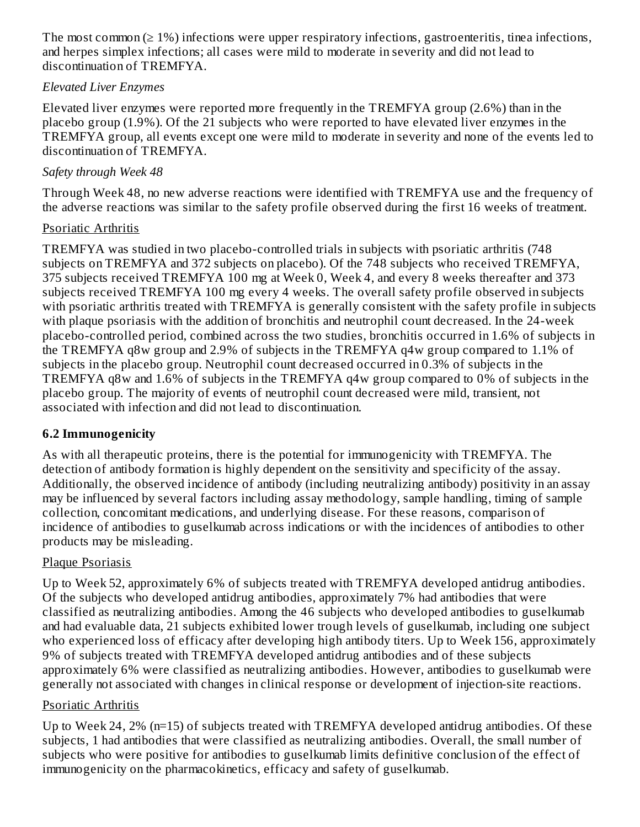The most common  $(21%)$  infections were upper respiratory infections, gastroenteritis, tinea infections, and herpes simplex infections; all cases were mild to moderate in severity and did not lead to discontinuation of TREMFYA.

#### *Elevated Liver Enzymes*

Elevated liver enzymes were reported more frequently in the TREMFYA group (2.6%) than in the placebo group (1.9%). Of the 21 subjects who were reported to have elevated liver enzymes in the TREMFYA group, all events except one were mild to moderate in severity and none of the events led to discontinuation of TREMFYA.

#### *Safety through Week 48*

Through Week 48, no new adverse reactions were identified with TREMFYA use and the frequency of the adverse reactions was similar to the safety profile observed during the first 16 weeks of treatment.

#### Psoriatic Arthritis

TREMFYA was studied in two placebo-controlled trials in subjects with psoriatic arthritis (748 subjects on TREMFYA and 372 subjects on placebo). Of the 748 subjects who received TREMFYA, 375 subjects received TREMFYA 100 mg at Week 0, Week 4, and every 8 weeks thereafter and 373 subjects received TREMFYA 100 mg every 4 weeks. The overall safety profile observed in subjects with psoriatic arthritis treated with TREMFYA is generally consistent with the safety profile in subjects with plaque psoriasis with the addition of bronchitis and neutrophil count decreased. In the 24-week placebo-controlled period, combined across the two studies, bronchitis occurred in 1.6% of subjects in the TREMFYA q8w group and 2.9% of subjects in the TREMFYA q4w group compared to 1.1% of subjects in the placebo group. Neutrophil count decreased occurred in 0.3% of subjects in the TREMFYA q8w and 1.6% of subjects in the TREMFYA q4w group compared to 0% of subjects in the placebo group. The majority of events of neutrophil count decreased were mild, transient, not associated with infection and did not lead to discontinuation.

## **6.2 Immunogenicity**

As with all therapeutic proteins, there is the potential for immunogenicity with TREMFYA. The detection of antibody formation is highly dependent on the sensitivity and specificity of the assay. Additionally, the observed incidence of antibody (including neutralizing antibody) positivity in an assay may be influenced by several factors including assay methodology, sample handling, timing of sample collection, concomitant medications, and underlying disease. For these reasons, comparison of incidence of antibodies to guselkumab across indications or with the incidences of antibodies to other products may be misleading.

## Plaque Psoriasis

Up to Week 52, approximately 6% of subjects treated with TREMFYA developed antidrug antibodies. Of the subjects who developed antidrug antibodies, approximately 7% had antibodies that were classified as neutralizing antibodies. Among the 46 subjects who developed antibodies to guselkumab and had evaluable data, 21 subjects exhibited lower trough levels of guselkumab, including one subject who experienced loss of efficacy after developing high antibody titers. Up to Week 156, approximately 9% of subjects treated with TREMFYA developed antidrug antibodies and of these subjects approximately 6% were classified as neutralizing antibodies. However, antibodies to guselkumab were generally not associated with changes in clinical response or development of injection-site reactions.

## Psoriatic Arthritis

Up to Week 24, 2% (n=15) of subjects treated with TREMFYA developed antidrug antibodies. Of these subjects, 1 had antibodies that were classified as neutralizing antibodies. Overall, the small number of subjects who were positive for antibodies to guselkumab limits definitive conclusion of the effect of immunogenicity on the pharmacokinetics, efficacy and safety of guselkumab.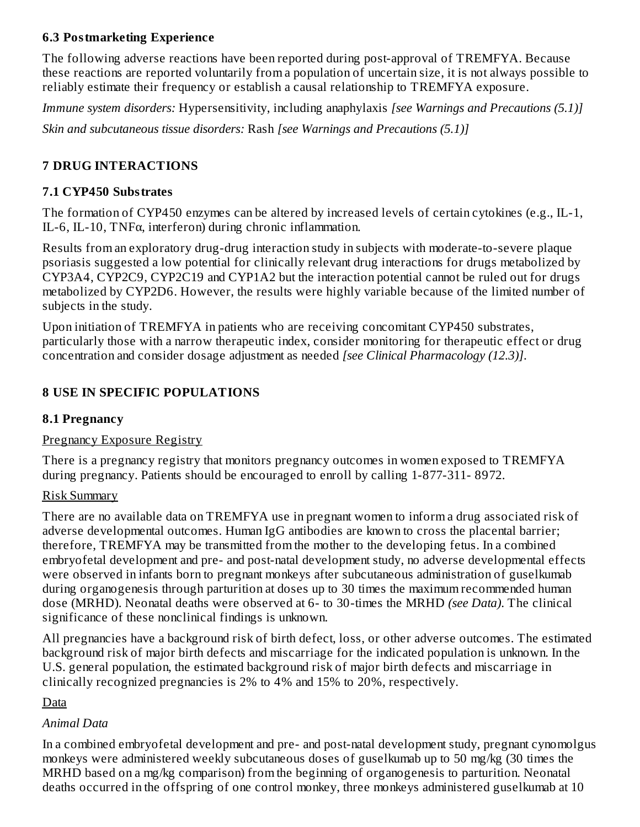#### **6.3 Postmarketing Experience**

The following adverse reactions have been reported during post-approval of TREMFYA. Because these reactions are reported voluntarily from a population of uncertain size, it is not always possible to reliably estimate their frequency or establish a causal relationship to TREMFYA exposure.

*Immune system disorders:* Hypersensitivity, including anaphylaxis *[see Warnings and Precautions (5.1)]*

*Skin and subcutaneous tissue disorders:* Rash *[see Warnings and Precautions (5.1)]*

## **7 DRUG INTERACTIONS**

#### **7.1 CYP450 Substrates**

The formation of CYP450 enzymes can be altered by increased levels of certain cytokines (e.g., IL-1, IL-6, IL-10, TNF $\alpha$ , interferon) during chronic inflammation.

Results from an exploratory drug-drug interaction study in subjects with moderate-to-severe plaque psoriasis suggested a low potential for clinically relevant drug interactions for drugs metabolized by CYP3A4, CYP2C9, CYP2C19 and CYP1A2 but the interaction potential cannot be ruled out for drugs metabolized by CYP2D6. However, the results were highly variable because of the limited number of subjects in the study.

Upon initiation of TREMFYA in patients who are receiving concomitant CYP450 substrates, particularly those with a narrow therapeutic index, consider monitoring for therapeutic effect or drug concentration and consider dosage adjustment as needed *[see Clinical Pharmacology (12.3)]*.

#### **8 USE IN SPECIFIC POPULATIONS**

#### **8.1 Pregnancy**

#### Pregnancy Exposure Registry

There is a pregnancy registry that monitors pregnancy outcomes in women exposed to TREMFYA during pregnancy. Patients should be encouraged to enroll by calling 1-877-311- 8972.

#### Risk Summary

There are no available data on TREMFYA use in pregnant women to inform a drug associated risk of adverse developmental outcomes. Human IgG antibodies are known to cross the placental barrier; therefore, TREMFYA may be transmitted from the mother to the developing fetus. In a combined embryofetal development and pre- and post-natal development study, no adverse developmental effects were observed in infants born to pregnant monkeys after subcutaneous administration of guselkumab during organogenesis through parturition at doses up to 30 times the maximum recommended human dose (MRHD). Neonatal deaths were observed at 6- to 30-times the MRHD *(see Data)*. The clinical significance of these nonclinical findings is unknown.

All pregnancies have a background risk of birth defect, loss, or other adverse outcomes. The estimated background risk of major birth defects and miscarriage for the indicated population is unknown. In the U.S. general population, the estimated background risk of major birth defects and miscarriage in clinically recognized pregnancies is 2% to 4% and 15% to 20%, respectively.

#### Data

## *Animal Data*

In a combined embryofetal development and pre- and post-natal development study, pregnant cynomolgus monkeys were administered weekly subcutaneous doses of guselkumab up to 50 mg/kg (30 times the MRHD based on a mg/kg comparison) from the beginning of organogenesis to parturition. Neonatal deaths occurred in the offspring of one control monkey, three monkeys administered guselkumab at 10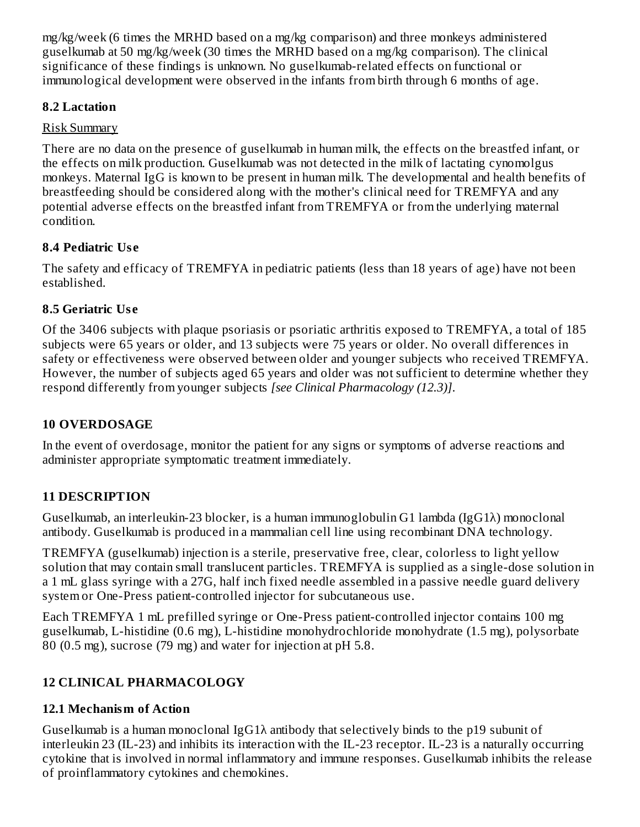mg/kg/week (6 times the MRHD based on a mg/kg comparison) and three monkeys administered guselkumab at 50 mg/kg/week (30 times the MRHD based on a mg/kg comparison). The clinical significance of these findings is unknown. No guselkumab-related effects on functional or immunological development were observed in the infants from birth through 6 months of age.

#### **8.2 Lactation**

## Risk Summary

There are no data on the presence of guselkumab in human milk, the effects on the breastfed infant, or the effects on milk production. Guselkumab was not detected in the milk of lactating cynomolgus monkeys. Maternal IgG is known to be present in human milk. The developmental and health benefits of breastfeeding should be considered along with the mother's clinical need for TREMFYA and any potential adverse effects on the breastfed infant from TREMFYA or from the underlying maternal condition.

## **8.4 Pediatric Us e**

The safety and efficacy of TREMFYA in pediatric patients (less than 18 years of age) have not been established.

## **8.5 Geriatric Us e**

Of the 3406 subjects with plaque psoriasis or psoriatic arthritis exposed to TREMFYA, a total of 185 subjects were 65 years or older, and 13 subjects were 75 years or older. No overall differences in safety or effectiveness were observed between older and younger subjects who received TREMFYA. However, the number of subjects aged 65 years and older was not sufficient to determine whether they respond differently from younger subjects *[see Clinical Pharmacology (12.3)]*.

## **10 OVERDOSAGE**

In the event of overdosage, monitor the patient for any signs or symptoms of adverse reactions and administer appropriate symptomatic treatment immediately.

## **11 DESCRIPTION**

Guselkumab, an interleukin-23 blocker, is a human immunoglobulin G1 lambda (IgG1λ) monoclonal antibody. Guselkumab is produced in a mammalian cell line using recombinant DNA technology.

TREMFYA (guselkumab) injection is a sterile, preservative free, clear, colorless to light yellow solution that may contain small translucent particles. TREMFYA is supplied as a single-dose solution in a 1 mL glass syringe with a 27G, half inch fixed needle assembled in a passive needle guard delivery system or One-Press patient-controlled injector for subcutaneous use.

Each TREMFYA 1 mL prefilled syringe or One-Press patient-controlled injector contains 100 mg guselkumab, L-histidine (0.6 mg), L-histidine monohydrochloride monohydrate (1.5 mg), polysorbate 80 (0.5 mg), sucrose (79 mg) and water for injection at pH 5.8.

## **12 CLINICAL PHARMACOLOGY**

## **12.1 Mechanism of Action**

Guselkumab is a human monoclonal IgG1λ antibody that selectively binds to the p19 subunit of interleukin 23 (IL-23) and inhibits its interaction with the IL-23 receptor. IL-23 is a naturally occurring cytokine that is involved in normal inflammatory and immune responses. Guselkumab inhibits the release of proinflammatory cytokines and chemokines.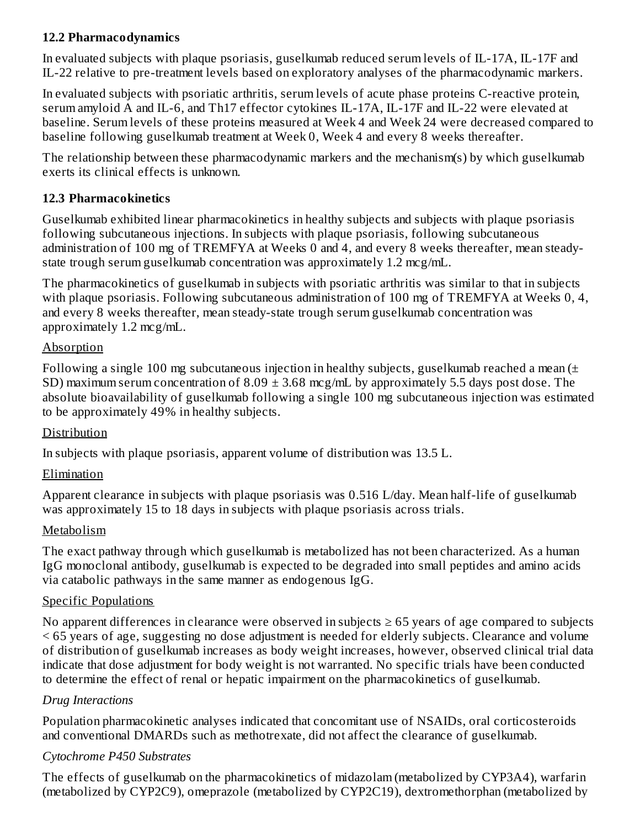#### **12.2 Pharmacodynamics**

In evaluated subjects with plaque psoriasis, guselkumab reduced serum levels of IL-17A, IL-17F and IL-22 relative to pre-treatment levels based on exploratory analyses of the pharmacodynamic markers.

In evaluated subjects with psoriatic arthritis, serum levels of acute phase proteins C-reactive protein, serum amyloid A and IL-6, and Th17 effector cytokines IL-17A, IL-17F and IL-22 were elevated at baseline. Serum levels of these proteins measured at Week 4 and Week 24 were decreased compared to baseline following guselkumab treatment at Week 0, Week 4 and every 8 weeks thereafter.

The relationship between these pharmacodynamic markers and the mechanism(s) by which guselkumab exerts its clinical effects is unknown.

#### **12.3 Pharmacokinetics**

Guselkumab exhibited linear pharmacokinetics in healthy subjects and subjects with plaque psoriasis following subcutaneous injections. In subjects with plaque psoriasis, following subcutaneous administration of 100 mg of TREMFYA at Weeks 0 and 4, and every 8 weeks thereafter, mean steadystate trough serum guselkumab concentration was approximately 1.2 mcg/mL.

The pharmacokinetics of guselkumab in subjects with psoriatic arthritis was similar to that in subjects with plaque psoriasis. Following subcutaneous administration of 100 mg of TREMFYA at Weeks 0, 4, and every 8 weeks thereafter, mean steady-state trough serum guselkumab concentration was approximately 1.2 mcg/mL.

#### Absorption

Following a single 100 mg subcutaneous injection in healthy subjects, guselkumab reached a mean  $(\pm)$ SD) maximum serum concentration of  $8.09 \pm 3.68$  mcg/mL by approximately 5.5 days post dose. The absolute bioavailability of guselkumab following a single 100 mg subcutaneous injection was estimated to be approximately 49% in healthy subjects.

## Distribution

In subjects with plaque psoriasis, apparent volume of distribution was 13.5 L.

## Elimination

Apparent clearance in subjects with plaque psoriasis was 0.516 L/day. Mean half-life of guselkumab was approximately 15 to 18 days in subjects with plaque psoriasis across trials.

## Metabolism

The exact pathway through which guselkumab is metabolized has not been characterized. As a human IgG monoclonal antibody, guselkumab is expected to be degraded into small peptides and amino acids via catabolic pathways in the same manner as endogenous IgG.

## Specific Populations

No apparent differences in clearance were observed in subjects  $\geq$  65 years of age compared to subjects < 65 years of age, suggesting no dose adjustment is needed for elderly subjects. Clearance and volume of distribution of guselkumab increases as body weight increases, however, observed clinical trial data indicate that dose adjustment for body weight is not warranted. No specific trials have been conducted to determine the effect of renal or hepatic impairment on the pharmacokinetics of guselkumab.

#### *Drug Interactions*

Population pharmacokinetic analyses indicated that concomitant use of NSAIDs, oral corticosteroids and conventional DMARDs such as methotrexate, did not affect the clearance of guselkumab.

#### *Cytochrome P450 Substrates*

The effects of guselkumab on the pharmacokinetics of midazolam (metabolized by CYP3A4), warfarin (metabolized by CYP2C9), omeprazole (metabolized by CYP2C19), dextromethorphan (metabolized by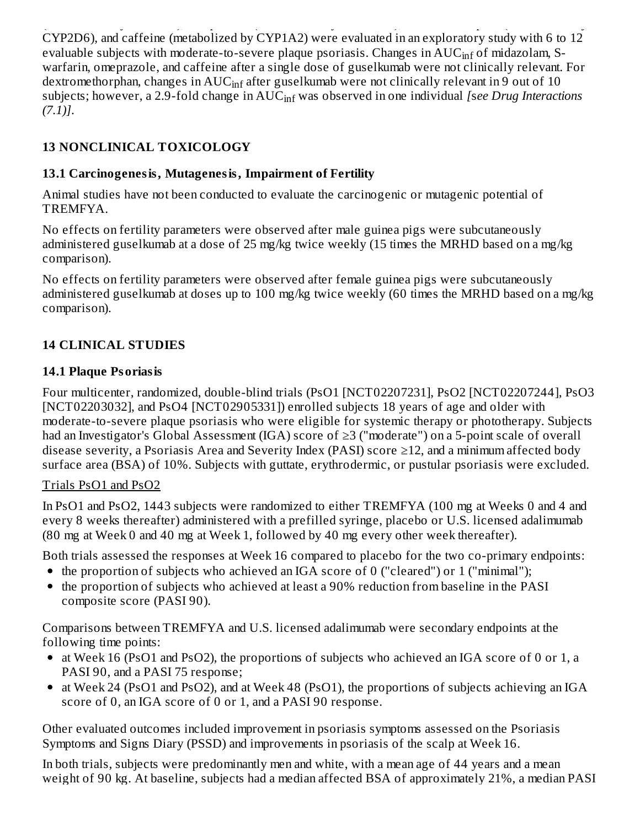(metabolized by CYP2C9), omeprazole (metabolized by CYP2C19), dextromethorphan (metabolized by CYP2D6), and caffeine (metabolized by CYP1A2) were evaluated in an exploratory study with 6 to 12 evaluable subjects with moderate-to-severe plaque psoriasis. Changes in  $\mathrm{AUC}_{\mathrm{inf}}$  of midazolam, Swarfarin, omeprazole, and caffeine after a single dose of guselkumab were not clinically relevant. For dextromethorphan, changes in  $\mathrm{AUC_{inf}}$  after guselkumab were not clinically relevant in 9 out of 10 subjects; however, a 2.9-fold change in  $\mathrm{AUC_{inf}}$  was observed in one individual *[see Drug Interactions (7.1)]*.

## **13 NONCLINICAL TOXICOLOGY**

## **13.1 Carcinogenesis, Mutagenesis, Impairment of Fertility**

Animal studies have not been conducted to evaluate the carcinogenic or mutagenic potential of TREMFYA.

No effects on fertility parameters were observed after male guinea pigs were subcutaneously administered guselkumab at a dose of 25 mg/kg twice weekly (15 times the MRHD based on a mg/kg comparison).

No effects on fertility parameters were observed after female guinea pigs were subcutaneously administered guselkumab at doses up to 100 mg/kg twice weekly (60 times the MRHD based on a mg/kg comparison).

## **14 CLINICAL STUDIES**

## **14.1 Plaque Psoriasis**

Four multicenter, randomized, double-blind trials (PsO1 [NCT02207231], PsO2 [NCT02207244], PsO3 [NCT02203032], and PsO4 [NCT02905331]) enrolled subjects 18 years of age and older with moderate-to-severe plaque psoriasis who were eligible for systemic therapy or phototherapy. Subjects had an Investigator's Global Assessment (IGA) score of ≥3 ("moderate") on a 5-point scale of overall disease severity, a Psoriasis Area and Severity Index (PASI) score  $\geq$ 12, and a minimum affected body surface area (BSA) of 10%. Subjects with guttate, erythrodermic, or pustular psoriasis were excluded.

## Trials PsO1 and PsO2

In PsO1 and PsO2, 1443 subjects were randomized to either TREMFYA (100 mg at Weeks 0 and 4 and every 8 weeks thereafter) administered with a prefilled syringe, placebo or U.S. licensed adalimumab (80 mg at Week 0 and 40 mg at Week 1, followed by 40 mg every other week thereafter).

Both trials assessed the responses at Week 16 compared to placebo for the two co-primary endpoints:

- the proportion of subjects who achieved an IGA score of 0 ("cleared") or 1 ("minimal");
- the proportion of subjects who achieved at least a 90% reduction from baseline in the PASI composite score (PASI 90).

Comparisons between TREMFYA and U.S. licensed adalimumab were secondary endpoints at the following time points:

- at Week 16 (PsO1 and PsO2), the proportions of subjects who achieved an IGA score of 0 or 1, a PASI 90, and a PASI 75 response;
- at Week 24 (PsO1 and PsO2), and at Week 48 (PsO1), the proportions of subjects achieving an IGA score of 0, an IGA score of 0 or 1, and a PASI 90 response.

Other evaluated outcomes included improvement in psoriasis symptoms assessed on the Psoriasis Symptoms and Signs Diary (PSSD) and improvements in psoriasis of the scalp at Week 16.

In both trials, subjects were predominantly men and white, with a mean age of 44 years and a mean weight of 90 kg. At baseline, subjects had a median affected BSA of approximately 21%, a median PASI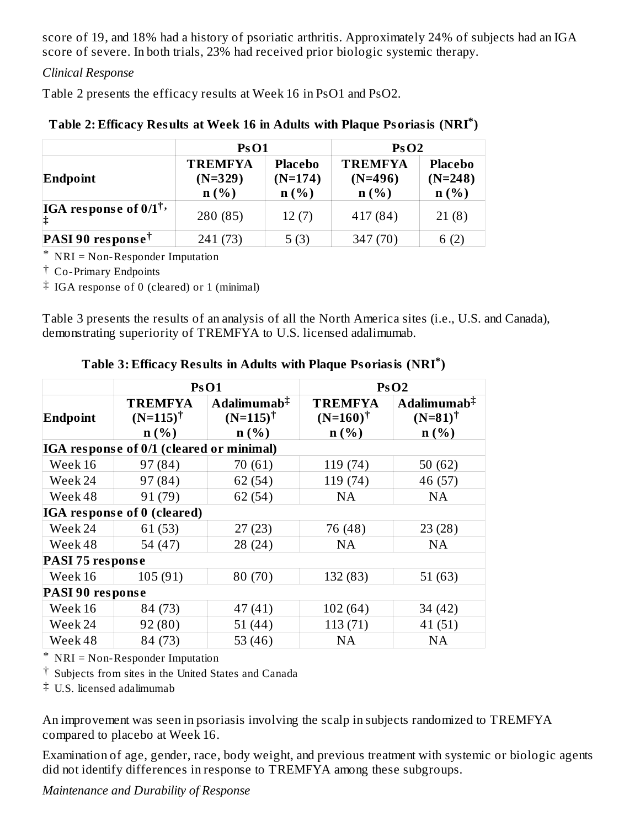score of 19, and 18% had a history of psoriatic arthritis. Approximately 24% of subjects had an IGA score of severe. In both trials, 23% had received prior biologic systemic therapy.

#### *Clinical Response*

Table 2 presents the efficacy results at Week 16 in PsO1 and PsO2.

|                                        | <b>PsO1</b>                         |                                     |                                     | PsO2                                   |  |
|----------------------------------------|-------------------------------------|-------------------------------------|-------------------------------------|----------------------------------------|--|
| Endpoint                               | <b>TREMFYA</b><br>$(N=329)$<br>n(%) | <b>Placebo</b><br>$(N=174)$<br>n(%) | <b>TREMFYA</b><br>$(N=496)$<br>n(%) | <b>Placebo</b><br>$(N=248)$<br>$n(\%)$ |  |
| IGA response of $0/1^{\dagger}$ ,<br>は | 280 (85)                            | 12(7)                               | 417 (84)                            | 21(8)                                  |  |
| <b>PASI 90 response</b> <sup>†</sup>   | 241 (73)                            | 5(3)                                | 347 (70)                            | 6(2)                                   |  |

#### **Table 2: Efficacy Results at Week 16 in Adults with Plaque Psoriasis (NRI ) \***

\* NRI = Non-Responder Imputation

† Co-Primary Endpoints

‡ IGA response of 0 (cleared) or 1 (minimal)

Table 3 presents the results of an analysis of all the North America sites (i.e., U.S. and Canada), demonstrating superiority of TREMFYA to U.S. licensed adalimumab.

|                  |                                               | PsO1                                                    |                                               | PsO2                                                   |  |  |  |
|------------------|-----------------------------------------------|---------------------------------------------------------|-----------------------------------------------|--------------------------------------------------------|--|--|--|
| Endpoint         | <b>TREMFYA</b><br>$(N=115)^{\dagger}$<br>n(%) | Adalimumab $\ddagger$<br>$(N=115)^{\dagger}$<br>$n(\%)$ | <b>TREMFYA</b><br>$(N=160)^{\dagger}$<br>n(%) | Adalimumab $\ddagger$<br>$(N=81)^{\dagger}$<br>$n(\%)$ |  |  |  |
|                  | IGA response of 0/1 (cleared or minimal)      |                                                         |                                               |                                                        |  |  |  |
| Week 16          | 97 (84)                                       | 70(61)                                                  | 119 (74)                                      | 50 $(62)$                                              |  |  |  |
| Week 24          | 97 (84)                                       | 62 (54)                                                 | 119 (74)                                      | 46 (57)                                                |  |  |  |
| Week 48          | 91 (79)                                       | 62(54)                                                  | <b>NA</b>                                     | <b>NA</b>                                              |  |  |  |
|                  | <b>IGA</b> response of 0 (cleared)            |                                                         |                                               |                                                        |  |  |  |
| Week 24          | 61 (53)                                       | 27(23)                                                  | 76 (48)                                       | 23(28)                                                 |  |  |  |
| Week 48          | 54 (47)                                       | 28(24)                                                  | <b>NA</b>                                     | <b>NA</b>                                              |  |  |  |
| PASI 75 response |                                               |                                                         |                                               |                                                        |  |  |  |
| Week 16          | 105(91)                                       | 80(70)                                                  | 132 (83)                                      | 51(63)                                                 |  |  |  |
|                  | PASI 90 response                              |                                                         |                                               |                                                        |  |  |  |
| Week 16          | 84 (73)                                       | 47(41)                                                  | 102(64)                                       | 34 (42)                                                |  |  |  |
| Week 24          | 92 (80)                                       | 51(44)                                                  | 113 (71)                                      | 41(51)                                                 |  |  |  |
| Week 48          | 84 (73)                                       | 53 $(46)$                                               | NA                                            | NA                                                     |  |  |  |

**Table 3: Efficacy Results in Adults with Plaque Psoriasis (NRI ) \***

\* NRI = Non-Responder Imputation

† Subjects from sites in the United States and Canada

‡ U.S. licensed adalimumab

An improvement was seen in psoriasis involving the scalp in subjects randomized to TREMFYA compared to placebo at Week 16.

Examination of age, gender, race, body weight, and previous treatment with systemic or biologic agents did not identify differences in response to TREMFYA among these subgroups.

*Maintenance and Durability of Response*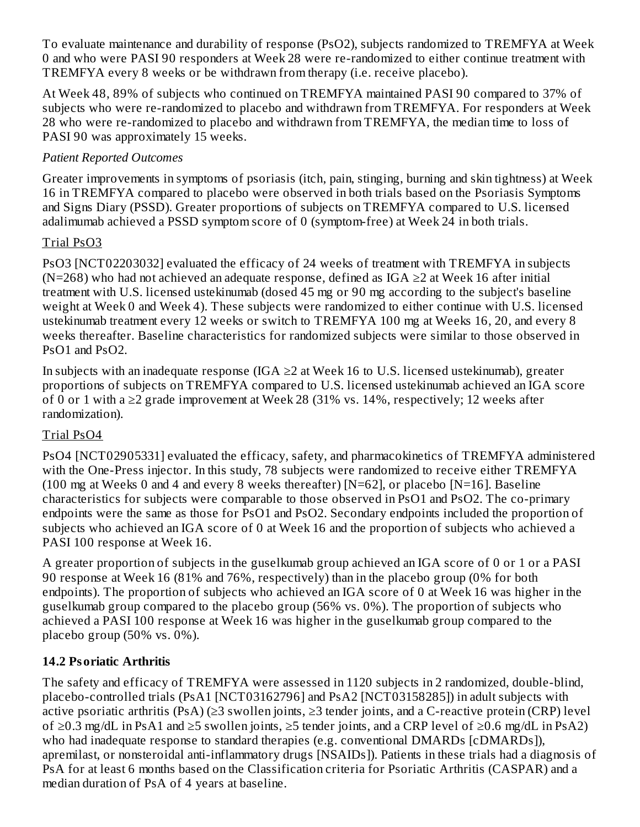To evaluate maintenance and durability of response (PsO2), subjects randomized to TREMFYA at Week 0 and who were PASI 90 responders at Week 28 were re-randomized to either continue treatment with TREMFYA every 8 weeks or be withdrawn from therapy (i.e. receive placebo).

At Week 48, 89% of subjects who continued on TREMFYA maintained PASI 90 compared to 37% of subjects who were re-randomized to placebo and withdrawn from TREMFYA. For responders at Week 28 who were re-randomized to placebo and withdrawn from TREMFYA, the median time to loss of PASI 90 was approximately 15 weeks.

## *Patient Reported Outcomes*

Greater improvements in symptoms of psoriasis (itch, pain, stinging, burning and skin tightness) at Week 16 in TREMFYA compared to placebo were observed in both trials based on the Psoriasis Symptoms and Signs Diary (PSSD). Greater proportions of subjects on TREMFYA compared to U.S. licensed adalimumab achieved a PSSD symptom score of 0 (symptom-free) at Week 24 in both trials.

## Trial PsO3

PsO3 [NCT02203032] evaluated the efficacy of 24 weeks of treatment with TREMFYA in subjects (N=268) who had not achieved an adequate response, defined as IGA  $\geq$ 2 at Week 16 after initial treatment with U.S. licensed ustekinumab (dosed 45 mg or 90 mg according to the subject's baseline weight at Week 0 and Week 4). These subjects were randomized to either continue with U.S. licensed ustekinumab treatment every 12 weeks or switch to TREMFYA 100 mg at Weeks 16, 20, and every 8 weeks thereafter. Baseline characteristics for randomized subjects were similar to those observed in PsO1 and PsO2.

In subjects with an inadequate response (IGA  $\geq$ 2 at Week 16 to U.S. licensed ustekinumab), greater proportions of subjects on TREMFYA compared to U.S. licensed ustekinumab achieved an IGA score of 0 or 1 with a  $\geq$ 2 grade improvement at Week 28 (31% vs. 14%, respectively; 12 weeks after randomization).

## Trial PsO4

PsO4 [NCT02905331] evaluated the efficacy, safety, and pharmacokinetics of TREMFYA administered with the One-Press injector. In this study, 78 subjects were randomized to receive either TREMFYA (100 mg at Weeks 0 and 4 and every 8 weeks thereafter) [N=62], or placebo [N=16]. Baseline characteristics for subjects were comparable to those observed in PsO1 and PsO2. The co-primary endpoints were the same as those for PsO1 and PsO2. Secondary endpoints included the proportion of subjects who achieved an IGA score of 0 at Week 16 and the proportion of subjects who achieved a PASI 100 response at Week 16.

A greater proportion of subjects in the guselkumab group achieved an IGA score of 0 or 1 or a PASI 90 response at Week 16 (81% and 76%, respectively) than in the placebo group (0% for both endpoints). The proportion of subjects who achieved an IGA score of 0 at Week 16 was higher in the guselkumab group compared to the placebo group (56% vs. 0%). The proportion of subjects who achieved a PASI 100 response at Week 16 was higher in the guselkumab group compared to the placebo group (50% vs. 0%).

## **14.2 Psoriatic Arthritis**

The safety and efficacy of TREMFYA were assessed in 1120 subjects in 2 randomized, double-blind, placebo-controlled trials (PsA1 [NCT03162796] and PsA2 [NCT03158285]) in adult subjects with active psoriatic arthritis (PsA) (≥3 swollen joints, ≥3 tender joints, and a C-reactive protein (CRP) level of ≥0.3 mg/dL in PsA1 and ≥5 swollen joints, ≥5 tender joints, and a CRP level of ≥0.6 mg/dL in PsA2) who had inadequate response to standard therapies (e.g. conventional DMARDs [cDMARDs]), apremilast, or nonsteroidal anti-inflammatory drugs [NSAIDs]). Patients in these trials had a diagnosis of PsA for at least 6 months based on the Classification criteria for Psoriatic Arthritis (CASPAR) and a median duration of PsA of 4 years at baseline.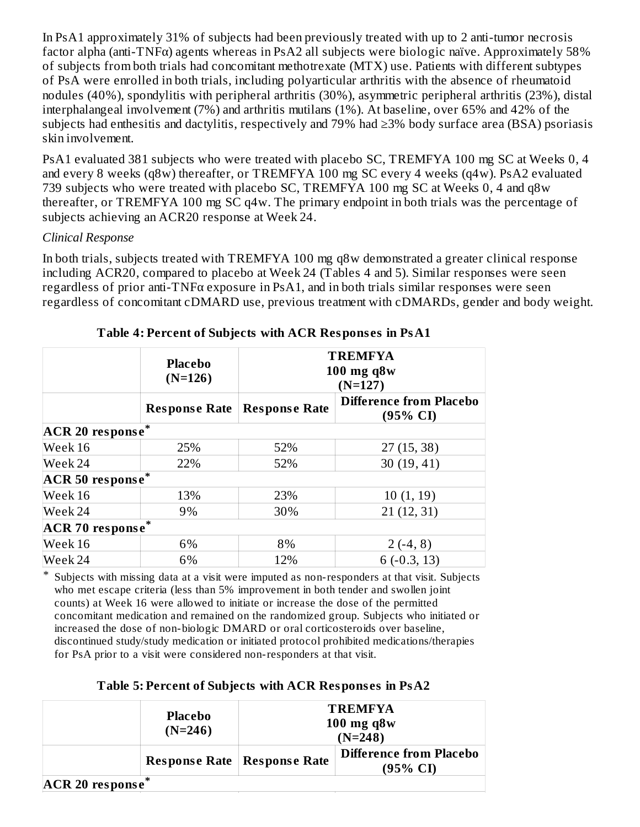In PsA1 approximately 31% of subjects had been previously treated with up to 2 anti-tumor necrosis factor alpha (anti-TNFα) agents whereas in PsA2 all subjects were biologic naïve. Approximately 58% of subjects from both trials had concomitant methotrexate (MTX) use. Patients with different subtypes of PsA were enrolled in both trials, including polyarticular arthritis with the absence of rheumatoid nodules (40%), spondylitis with peripheral arthritis (30%), asymmetric peripheral arthritis (23%), distal interphalangeal involvement (7%) and arthritis mutilans (1%). At baseline, over 65% and 42% of the subjects had enthesitis and dactylitis, respectively and 79% had ≥3% body surface area (BSA) psoriasis skin involvement.

PsA1 evaluated 381 subjects who were treated with placebo SC, TREMFYA 100 mg SC at Weeks 0, 4 and every 8 weeks (q8w) thereafter, or TREMFYA 100 mg SC every 4 weeks (q4w). PsA2 evaluated 739 subjects who were treated with placebo SC, TREMFYA 100 mg SC at Weeks 0, 4 and q8w thereafter, or TREMFYA 100 mg SC q4w. The primary endpoint in both trials was the percentage of subjects achieving an ACR20 response at Week 24.

#### *Clinical Response*

In both trials, subjects treated with TREMFYA 100 mg q8w demonstrated a greater clinical response including ACR20, compared to placebo at Week 24 (Tables 4 and 5). Similar responses were seen regardless of prior anti-TNFα exposure in PsA1, and in both trials similar responses were seen regardless of concomitant cDMARD use, previous treatment with cDMARDs, gender and body weight.

|                        | <b>Placebo</b><br>$(N=126)$      | <b>TREMFYA</b><br>$100$ mg q $8w$<br>$(N=127)$<br><b>Difference from Placebo</b><br><b>Response Rate</b><br>(95% CI) |            |  |  |  |
|------------------------|----------------------------------|----------------------------------------------------------------------------------------------------------------------|------------|--|--|--|
|                        | <b>Response Rate</b>             |                                                                                                                      |            |  |  |  |
|                        | <b>ACR 20 response</b>           |                                                                                                                      |            |  |  |  |
| Week 16                | 25%                              | 52%                                                                                                                  | 27(15, 38) |  |  |  |
| Week 24                | 22%                              | 52%<br>30 (19, 41)                                                                                                   |            |  |  |  |
| <b>ACR 50 response</b> |                                  |                                                                                                                      |            |  |  |  |
| Week 16                | 13%                              | 23%                                                                                                                  | 10(1, 19)  |  |  |  |
| Week 24                | 9%                               | 30%                                                                                                                  | 21(12, 31) |  |  |  |
|                        | $\ast$<br><b>ACR 70 response</b> |                                                                                                                      |            |  |  |  |
| Week 16                | 6%                               | 8%<br>$2(-4, 8)$                                                                                                     |            |  |  |  |
| Week 24                | 6%                               | 12%<br>$6(-0.3, 13)$                                                                                                 |            |  |  |  |

#### **Table 4: Percent of Subjects with ACR Respons es in PsA1**

\* Subjects with missing data at a visit were imputed as non-responders at that visit. Subjects who met escape criteria (less than 5% improvement in both tender and swollen joint counts) at Week 16 were allowed to initiate or increase the dose of the permitted concomitant medication and remained on the randomized group. Subjects who initiated or increased the dose of non-biologic DMARD or oral corticosteroids over baseline, discontinued study/study medication or initiated protocol prohibited medications/therapies for PsA prior to a visit were considered non-responders at that visit.

**Table 5: Percent of Subjects with ACR Respons es in PsA2**

|                                | <b>Placebo</b><br>$(N=246)$ | <b>TREMFYA</b><br>$100$ mg q $8w$<br>$(N=248)$ |                                                       |
|--------------------------------|-----------------------------|------------------------------------------------|-------------------------------------------------------|
|                                |                             | <b>Response Rate   Response Rate</b>           | <b>Difference from Placebo</b><br>$(95\% \text{ CI})$ |
| $ACR$ 20 response <sup>*</sup> |                             |                                                |                                                       |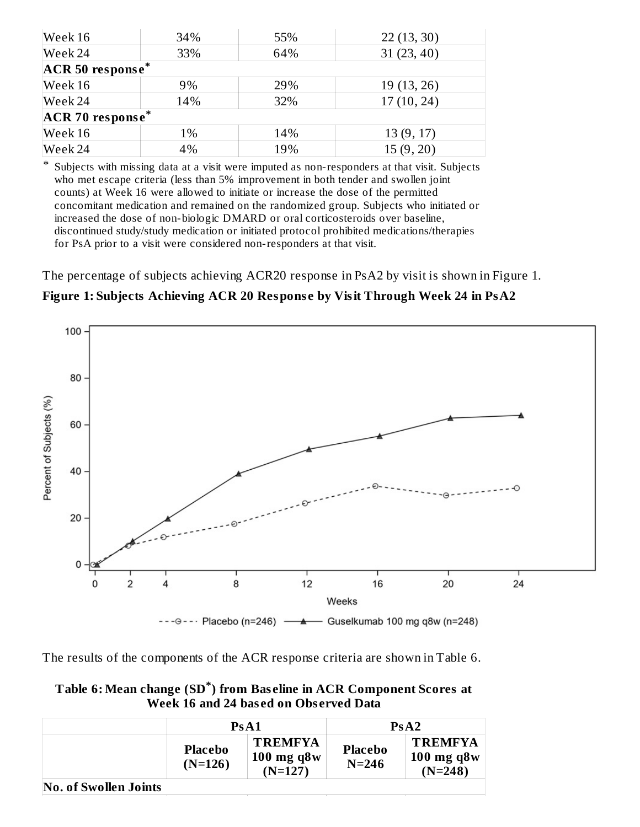| Week 16          | 34%              | 55% | 22(13, 30)  |  |  |  |
|------------------|------------------|-----|-------------|--|--|--|
| Week 24          | 33%              | 64% | 31(23, 40)  |  |  |  |
| ACR 50 response* |                  |     |             |  |  |  |
| Week 16          | 9%               | 29% | 19 (13, 26) |  |  |  |
| Week 24          | 14%              | 32% | 17(10, 24)  |  |  |  |
|                  | ACR 70 response* |     |             |  |  |  |
| Week 16          | 1%               | 14% | 13(9, 17)   |  |  |  |
| Week 24          | 4%               | 19% | 15(9, 20)   |  |  |  |

\* Subjects with missing data at a visit were imputed as non-responders at that visit. Subjects who met escape criteria (less than 5% improvement in both tender and swollen joint counts) at Week 16 were allowed to initiate or increase the dose of the permitted concomitant medication and remained on the randomized group. Subjects who initiated or increased the dose of non-biologic DMARD or oral corticosteroids over baseline, discontinued study/study medication or initiated protocol prohibited medications/therapies for PsA prior to a visit were considered non-responders at that visit.

The percentage of subjects achieving ACR20 response in PsA2 by visit is shown in Figure 1.

**Figure 1: Subjects Achieving ACR 20 Respons e by Visit Through Week 24 in PsA2**



The results of the components of the ACR response criteria are shown in Table 6.

**Table 6: Mean change (SD ) from Bas eline in ACR Component Scores at \*Week 16 and 24 bas ed on Obs erved Data**

|                              | PsA1                        |                                                | PsA2                        |                                                |  |
|------------------------------|-----------------------------|------------------------------------------------|-----------------------------|------------------------------------------------|--|
|                              | <b>Placebo</b><br>$(N=126)$ | <b>TREMFYA</b><br>$100$ mg q8 $w$<br>$(N=127)$ | <b>Placebo</b><br>$N = 246$ | <b>TREMFYA</b><br>$100$ mg q $8w$<br>$(N=248)$ |  |
| <b>No. of Swollen Joints</b> |                             |                                                |                             |                                                |  |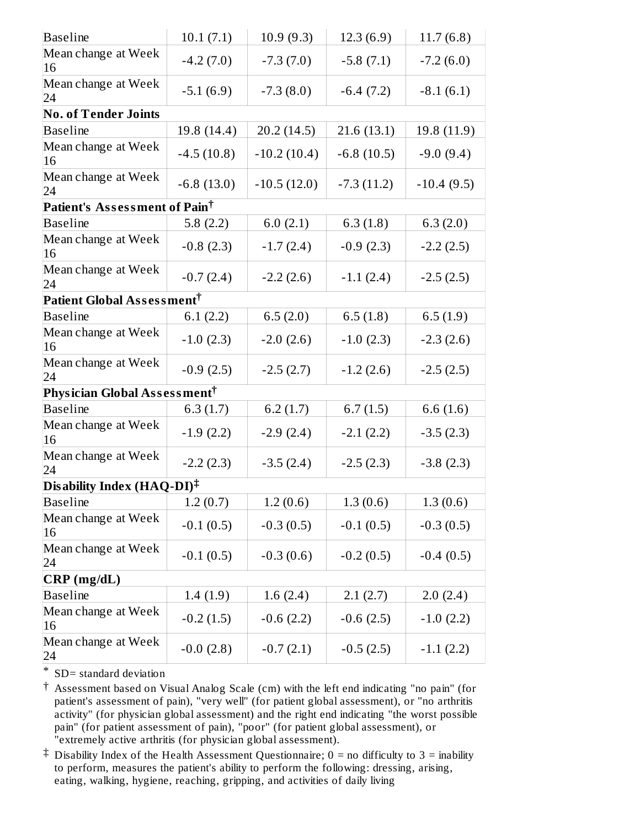| <b>Baseline</b>                          | 10.1(7.1)    | 10.9(9.3)     | 12.3(6.9)    | 11.7(6.8)    |
|------------------------------------------|--------------|---------------|--------------|--------------|
| Mean change at Week<br>16                | $-4.2(7.0)$  | $-7.3(7.0)$   | $-5.8(7.1)$  | $-7.2(6.0)$  |
| Mean change at Week<br>24                | $-5.1(6.9)$  | $-7.3(8.0)$   | $-6.4(7.2)$  | $-8.1(6.1)$  |
| <b>No. of Tender Joints</b>              |              |               |              |              |
| <b>Baseline</b>                          | 19.8 (14.4)  | 20.2 (14.5)   | 21.6(13.1)   | 19.8 (11.9)  |
| Mean change at Week<br>16                | $-4.5(10.8)$ | $-10.2(10.4)$ | $-6.8(10.5)$ | $-9.0(9.4)$  |
| Mean change at Week<br>24                | $-6.8(13.0)$ | $-10.5(12.0)$ | $-7.3(11.2)$ | $-10.4(9.5)$ |
| Patient's Assessment of Pain $^\dagger$  |              |               |              |              |
| <b>Baseline</b>                          | 5.8 $(2.2)$  | 6.0(2.1)      | 6.3(1.8)     | 6.3(2.0)     |
| Mean change at Week<br>16                | $-0.8(2.3)$  | $-1.7(2.4)$   | $-0.9(2.3)$  | $-2.2(2.5)$  |
| Mean change at Week<br>24                | $-0.7(2.4)$  | $-2.2(2.6)$   | $-1.1(2.4)$  | $-2.5(2.5)$  |
| Patient Global Assessment $^\dagger$     |              |               |              |              |
| <b>Baseline</b>                          | 6.1(2.2)     | 6.5(2.0)      | 6.5(1.8)     | 6.5(1.9)     |
| Mean change at Week<br>16                | $-1.0$ (2.3) | $-2.0(2.6)$   | $-1.0(2.3)$  | $-2.3(2.6)$  |
| Mean change at Week<br>24                | $-0.9(2.5)$  | $-2.5(2.7)$   | $-1.2(2.6)$  | $-2.5(2.5)$  |
| Physician Global Assessment <sup>†</sup> |              |               |              |              |
| <b>Baseline</b>                          | 6.3(1.7)     | 6.2(1.7)      | 6.7(1.5)     | 6.6(1.6)     |
| Mean change at Week<br>16                | $-1.9(2.2)$  | $-2.9(2.4)$   | $-2.1(2.2)$  | $-3.5(2.3)$  |
| Mean change at Week<br>24                | $-2.2(2.3)$  | $-3.5(2.4)$   | $-2.5(2.3)$  | $-3.8(2.3)$  |
| Disability Index (HAQ-DI) $^{\ddagger}$  |              |               |              |              |
| <b>Baseline</b>                          | 1.2(0.7)     | 1.2(0.6)      | 1.3(0.6)     | 1.3(0.6)     |
| Mean change at Week<br>16                | $-0.1(0.5)$  | $-0.3(0.5)$   | $-0.1(0.5)$  | $-0.3(0.5)$  |
| Mean change at Week<br>24                | $-0.1(0.5)$  | $-0.3(0.6)$   | $-0.2(0.5)$  | $-0.4(0.5)$  |
| $CRP$ (mg/dL)                            |              |               |              |              |
| <b>Baseline</b>                          | 1.4(1.9)     | 1.6(2.4)      | 2.1(2.7)     | 2.0(2.4)     |
| Mean change at Week<br>16                | $-0.2(1.5)$  | $-0.6(2.2)$   | $-0.6(2.5)$  | $-1.0(2.2)$  |
| Mean change at Week<br>24                | $-0.0(2.8)$  | $-0.7(2.1)$   | $-0.5(2.5)$  | $-1.1(2.2)$  |
|                                          |              |               |              |              |

\* SD= standard deviation

† Assessment based on Visual Analog Scale (cm) with the left end indicating "no pain" (for patient's assessment of pain), "very well" (for patient global assessment), or "no arthritis activity" (for physician global assessment) and the right end indicating "the worst possible pain" (for patient assessment of pain), "poor" (for patient global assessment), or "extremely active arthritis (for physician global assessment).

‡ Disability Index of the Health Assessment Questionnaire; 0 = no difficulty to 3 = inability to perform, measures the patient's ability to perform the following: dressing, arising, eating, walking, hygiene, reaching, gripping, and activities of daily living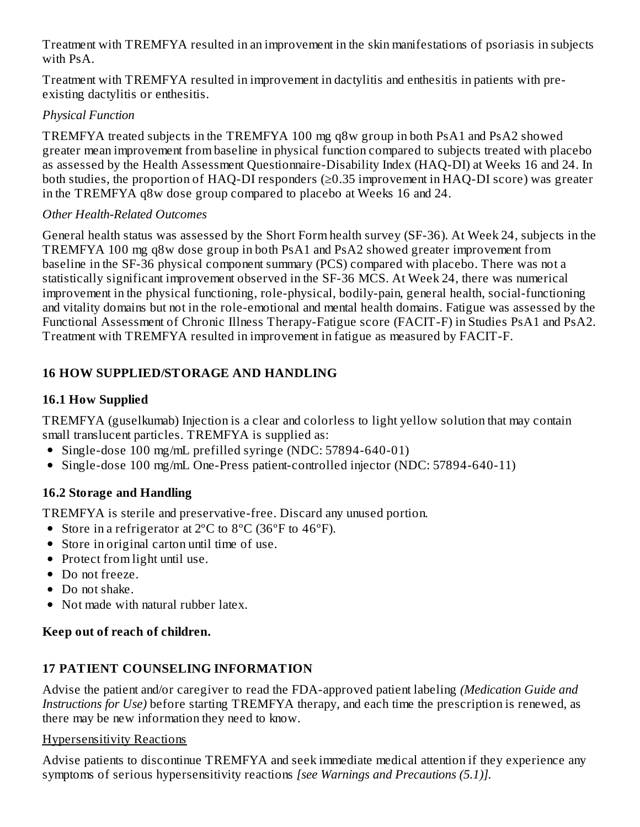Treatment with TREMFYA resulted in an improvement in the skin manifestations of psoriasis in subjects with PsA.

Treatment with TREMFYA resulted in improvement in dactylitis and enthesitis in patients with preexisting dactylitis or enthesitis.

## *Physical Function*

TREMFYA treated subjects in the TREMFYA 100 mg q8w group in both PsA1 and PsA2 showed greater mean improvement from baseline in physical function compared to subjects treated with placebo as assessed by the Health Assessment Questionnaire-Disability Index (HAQ-DI) at Weeks 16 and 24. In both studies, the proportion of HAQ-DI responders (≥0.35 improvement in HAQ-DI score) was greater in the TREMFYA q8w dose group compared to placebo at Weeks 16 and 24.

#### *Other Health-Related Outcomes*

General health status was assessed by the Short Form health survey (SF-36). At Week 24, subjects in the TREMFYA 100 mg q8w dose group in both PsA1 and PsA2 showed greater improvement from baseline in the SF-36 physical component summary (PCS) compared with placebo. There was not a statistically significant improvement observed in the SF-36 MCS. At Week 24, there was numerical improvement in the physical functioning, role-physical, bodily-pain, general health, social-functioning and vitality domains but not in the role-emotional and mental health domains. Fatigue was assessed by the Functional Assessment of Chronic Illness Therapy-Fatigue score (FACIT-F) in Studies PsA1 and PsA2. Treatment with TREMFYA resulted in improvement in fatigue as measured by FACIT-F.

## **16 HOW SUPPLIED/STORAGE AND HANDLING**

## **16.1 How Supplied**

TREMFYA (guselkumab) Injection is a clear and colorless to light yellow solution that may contain small translucent particles. TREMFYA is supplied as:

- Single-dose 100 mg/mL prefilled syringe (NDC: 57894-640-01)
- Single-dose 100 mg/mL One-Press patient-controlled injector (NDC: 57894-640-11)

## **16.2 Storage and Handling**

TREMFYA is sterile and preservative-free. Discard any unused portion.

- Store in a refrigerator at 2<sup>o</sup>C to 8<sup>o</sup>C (36<sup>o</sup>F to 46<sup>o</sup>F).
- Store in original carton until time of use.
- Protect from light until use.
- Do not freeze.
- Do not shake.
- Not made with natural rubber latex.

## **Keep out of reach of children.**

## **17 PATIENT COUNSELING INFORMATION**

Advise the patient and/or caregiver to read the FDA-approved patient labeling *(Medication Guide and Instructions for Use)* before starting TREMFYA therapy, and each time the prescription is renewed, as there may be new information they need to know.

#### Hypersensitivity Reactions

Advise patients to discontinue TREMFYA and seek immediate medical attention if they experience any symptoms of serious hypersensitivity reactions *[see Warnings and Precautions (5.1)].*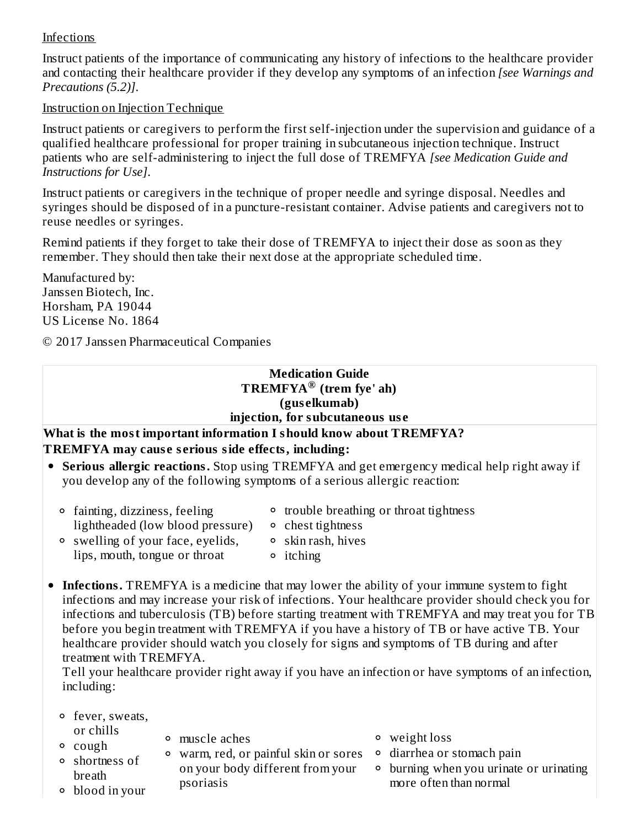#### Infections

Instruct patients of the importance of communicating any history of infections to the healthcare provider and contacting their healthcare provider if they develop any symptoms of an infection *[see Warnings and Precautions (5.2)]*.

#### Instruction on Injection Technique

Instruct patients or caregivers to perform the first self-injection under the supervision and guidance of a qualified healthcare professional for proper training in subcutaneous injection technique. Instruct patients who are self-administering to inject the full dose of TREMFYA *[see Medication Guide and Instructions for Use]*.

Instruct patients or caregivers in the technique of proper needle and syringe disposal. Needles and syringes should be disposed of in a puncture-resistant container. Advise patients and caregivers not to reuse needles or syringes.

Remind patients if they forget to take their dose of TREMFYA to inject their dose as soon as they remember. They should then take their next dose at the appropriate scheduled time.

Manufactured by: Janssen Biotech, Inc. Horsham, PA 19044 US License No. 1864

© 2017 Janssen Pharmaceutical Companies

#### **Medication Guide TREMFYA (trem fye' ah) ®(gus elkumab) injection, for subcutaneous us e**

#### **What is the most important information I should know about TREMFYA? TREMFYA may caus e s erious side effects, including:**

- **Serious allergic reactions.** Stop using TREMFYA and get emergency medical help right away if you develop any of the following symptoms of a serious allergic reaction:
	- fainting, dizziness, feeling lightheaded (low blood pressure)
- trouble breathing or throat tightness
- swelling of your face, eyelids,
- chest tightness skin rash, hives
- lips, mouth, tongue or throat
- itching
- **Infections.** TREMFYA is a medicine that may lower the ability of your immune system to fight infections and may increase your risk of infections. Your healthcare provider should check you for infections and tuberculosis (TB) before starting treatment with TREMFYA and may treat you for TB before you begin treatment with TREMFYA if you have a history of TB or have active TB. Your healthcare provider should watch you closely for signs and symptoms of TB during and after treatment with TREMFYA.

Tell your healthcare provider right away if you have an infection or have symptoms of an infection, including:

- fever, sweats, or chills
- <sup>o</sup> cough
- muscle aches
	- warm, red, or painful skin or sores diarrhea or stomach pain on your body different from your psoriasis
- weight loss
- - <sup>o</sup> burning when you urinate or urinating more often than normal

blood in your

shortness of breath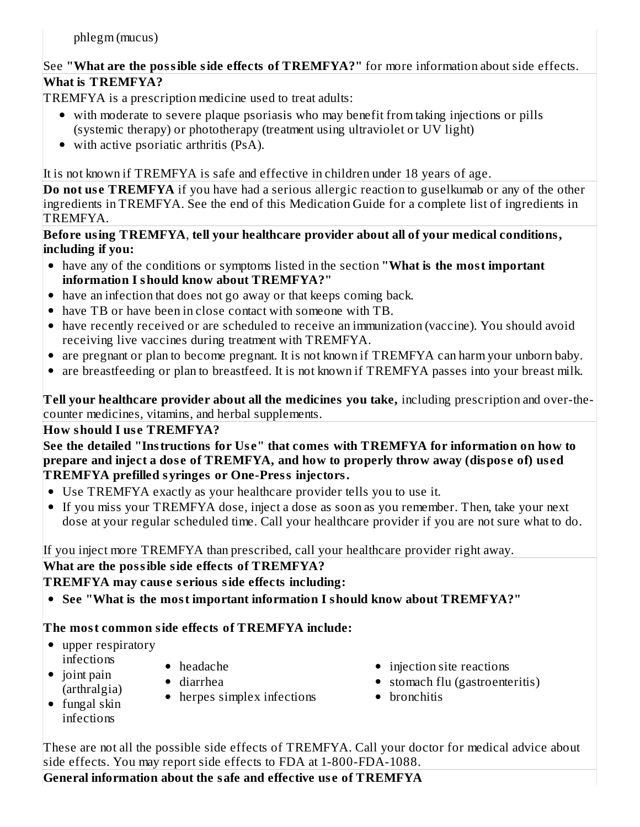phlegm (mucus)

## See **"What are the possible side effects of TREMFYA?"** for more information about side effects. **What is TREMFYA?**

TREMFYA is a prescription medicine used to treat adults:

- with moderate to severe plaque psoriasis who may benefit from taking injections or pills (systemic therapy) or phototherapy (treatment using ultraviolet or UV light)
- with active psoriatic arthritis (PsA).

It is not known if TREMFYA is safe and effective in children under 18 years of age.

**Do** not use **TREMFYA** if you have had a serious allergic reaction to guselkumab or any of the other ingredients in TREMFYA. See the end of this Medication Guide for a complete list of ingredients in TREMFYA.

**Before using TREMFYA**, **tell your healthcare provider about all of your medical conditions, including if you:**

- have any of the conditions or symptoms listed in the section **"What is the most important information I should know about TREMFYA?"**
- have an infection that does not go away or that keeps coming back.
- have TB or have been in close contact with someone with TB.
- have recently received or are scheduled to receive an immunization (vaccine). You should avoid receiving live vaccines during treatment with TREMFYA.
- are pregnant or plan to become pregnant. It is not known if TREMFYA can harm your unborn baby.
- are breastfeeding or plan to breastfeed. It is not known if TREMFYA passes into your breast milk.

**Tell your healthcare provider about all the medicines you take,** including prescription and over-thecounter medicines, vitamins, and herbal supplements.

## **How should I us e TREMFYA?**

**See the detailed "Instructions for Us e" that comes with TREMFYA for information on how to prepare and inject a dos e of TREMFYA, and how to properly throw away (dispos e of) us ed TREMFYA prefilled syringes or One-Press injectors.**

- Use TREMFYA exactly as your healthcare provider tells you to use it.
- If you miss your TREMFYA dose, inject a dose as soon as you remember. Then, take your next dose at your regular scheduled time. Call your healthcare provider if you are not sure what to do.

If you inject more TREMFYA than prescribed, call your healthcare provider right away.

## **What are the possible side effects of TREMFYA?**

**TREMFYA may caus e s erious side effects including:**

**See "What is the most important information I should know about TREMFYA?"**

## **The most common side effects of TREMFYA include:**

- upper respiratory infections
- headache
- diarrhea
- herpes simplex infections
- (arthralgia)  $\bullet$  fungal skin infections

 $\bullet$  joint pain

- injection site reactions
- stomach flu (gastroenteritis)
- bronchitis

These are not all the possible side effects of TREMFYA. Call your doctor for medical advice about side effects. You may report side effects to FDA at 1-800-FDA-1088.

**General information about the safe and effective us e of TREMFYA**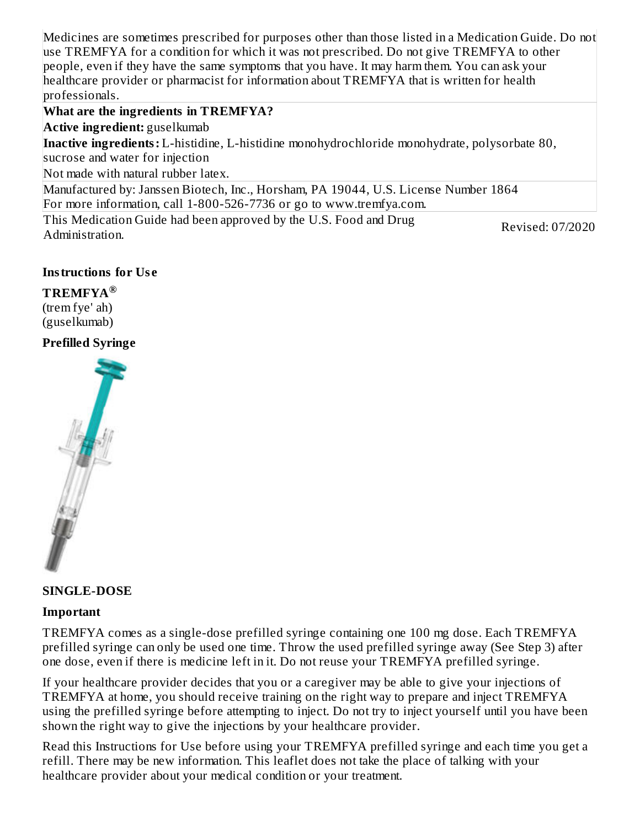Medicines are sometimes prescribed for purposes other than those listed in a Medication Guide. Do not use TREMFYA for a condition for which it was not prescribed. Do not give TREMFYA to other people, even if they have the same symptoms that you have. It may harm them. You can ask your healthcare provider or pharmacist for information about TREMFYA that is written for health professionals.

#### **What are the ingredients in TREMFYA?**

**Active ingredient:** guselkumab

**Inactive ingredients:** L-histidine, L-histidine monohydrochloride monohydrate, polysorbate 80, sucrose and water for injection

Not made with natural rubber latex.

Manufactured by: Janssen Biotech, Inc., Horsham, PA 19044, U.S. License Number 1864 For more information, call 1-800-526-7736 or go to www.tremfya.com.

This Medication Guide had been approved by the U.S. Food and Drug Administration. Revised: 07/2020

#### **Instructions for Us e**

**TREMFYA ®**(trem fye' ah)

(guselkumab)

#### **Prefilled Syringe**



#### **SINGLE-DOSE**

#### **Important**

TREMFYA comes as a single-dose prefilled syringe containing one 100 mg dose. Each TREMFYA prefilled syringe can only be used one time. Throw the used prefilled syringe away (See Step 3) after one dose, even if there is medicine left in it. Do not reuse your TREMFYA prefilled syringe.

If your healthcare provider decides that you or a caregiver may be able to give your injections of TREMFYA at home, you should receive training on the right way to prepare and inject TREMFYA using the prefilled syringe before attempting to inject. Do not try to inject yourself until you have been shown the right way to give the injections by your healthcare provider.

Read this Instructions for Use before using your TREMFYA prefilled syringe and each time you get a refill. There may be new information. This leaflet does not take the place of talking with your healthcare provider about your medical condition or your treatment.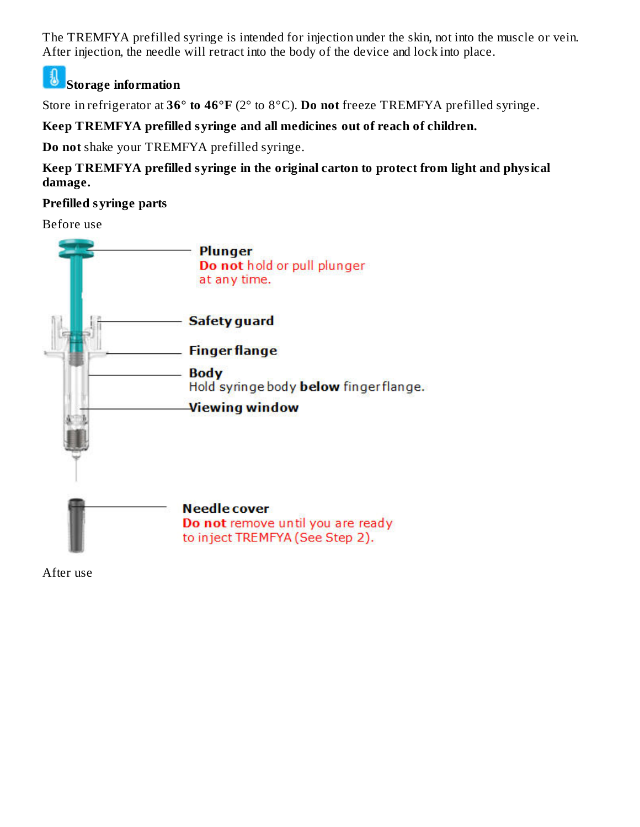The TREMFYA prefilled syringe is intended for injection under the skin, not into the muscle or vein. After injection, the needle will retract into the body of the device and lock into place.

#### J **Storage information**

Store in refrigerator at **36° to 46°F** (2° to 8°C). **Do not** freeze TREMFYA prefilled syringe.

## **Keep TREMFYA prefilled syringe and all medicines out of reach of children.**

**Do not** shake your TREMFYA prefilled syringe.

**Keep TREMFYA prefilled syringe in the original carton to protect from light and physical damage.**

## **Prefilled syringe parts**

Before use



After use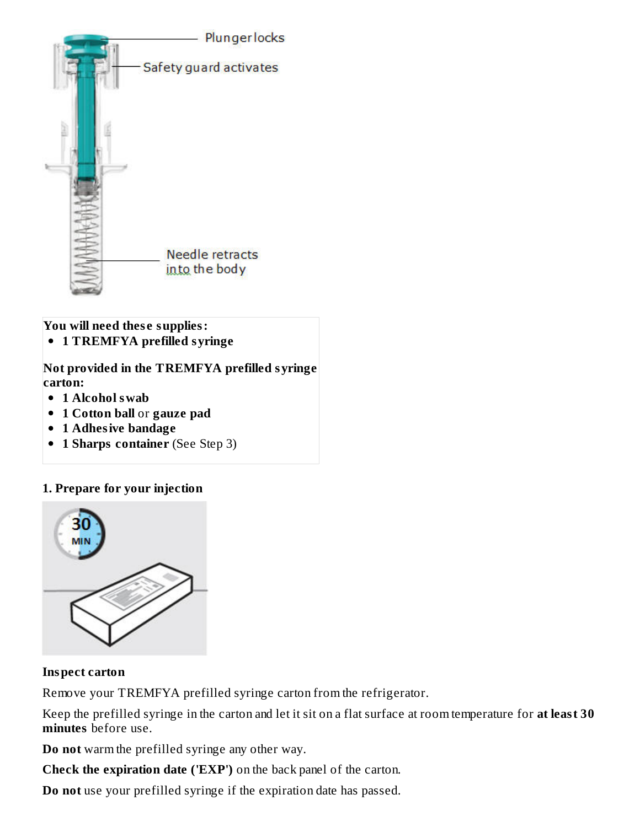

**You will need thes e supplies:**

**1 TREMFYA prefilled syringe**

**Not provided in the TREMFYA prefilled syringe carton:**

- **1 Alcohol swab**
- **1 Cotton ball** or **gauze pad**
- **1 Adhesive bandage**
- **1 Sharps container** (See Step 3)  $\bullet$

#### **1. Prepare for your injection**



#### **Inspect carton**

Remove your TREMFYA prefilled syringe carton from the refrigerator.

Keep the prefilled syringe in the carton and let it sit on a flat surface at room temperature for **at least 30 minutes** before use.

**Do not** warm the prefilled syringe any other way.

**Check the expiration date ('EXP')** on the back panel of the carton.

**Do not** use your prefilled syringe if the expiration date has passed.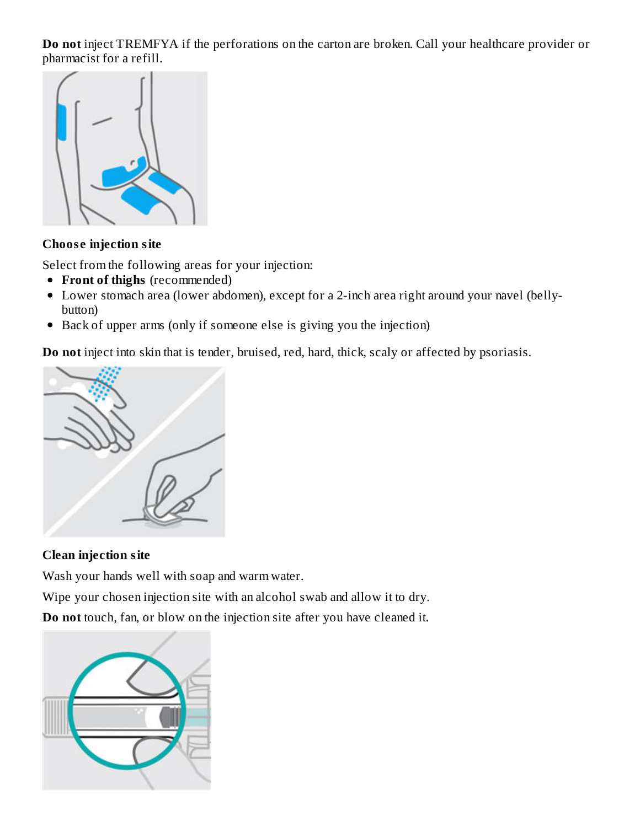**Do not** inject TREMFYA if the perforations on the carton are broken. Call your healthcare provider or pharmacist for a refill.



#### **Choos e injection site**

Select from the following areas for your injection:

- **Front of thighs** (recommended)
- Lower stomach area (lower abdomen), except for a 2-inch area right around your navel (bellybutton)
- Back of upper arms (only if someone else is giving you the injection)

**Do not** inject into skin that is tender, bruised, red, hard, thick, scaly or affected by psoriasis.



## **Clean injection site**

Wash your hands well with soap and warm water.

Wipe your chosen injection site with an alcohol swab and allow it to dry.

**Do not** touch, fan, or blow on the injection site after you have cleaned it.

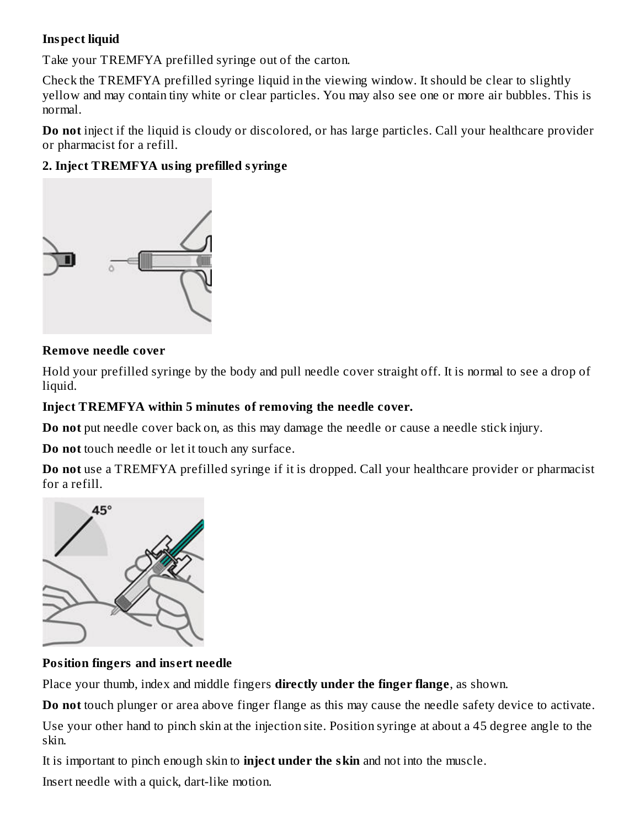#### **Inspect liquid**

Take your TREMFYA prefilled syringe out of the carton.

Check the TREMFYA prefilled syringe liquid in the viewing window. It should be clear to slightly yellow and may contain tiny white or clear particles. You may also see one or more air bubbles. This is normal.

**Do not** inject if the liquid is cloudy or discolored, or has large particles. Call your healthcare provider or pharmacist for a refill.

## **2. Inject TREMFYA using prefilled syringe**



#### **Remove needle cover**

Hold your prefilled syringe by the body and pull needle cover straight off. It is normal to see a drop of liquid.

#### **Inject TREMFYA within 5 minutes of removing the needle cover.**

**Do not** put needle cover back on, as this may damage the needle or cause a needle stick injury.

**Do not** touch needle or let it touch any surface.

**Do not** use a TREMFYA prefilled syringe if it is dropped. Call your healthcare provider or pharmacist for a refill.



#### **Position fingers and ins ert needle**

Place your thumb, index and middle fingers **directly under the finger flange**, as shown.

**Do not** touch plunger or area above finger flange as this may cause the needle safety device to activate. Use your other hand to pinch skin at the injection site. Position syringe at about a 45 degree angle to the skin.

It is important to pinch enough skin to **inject under the skin** and not into the muscle.

Insert needle with a quick, dart-like motion.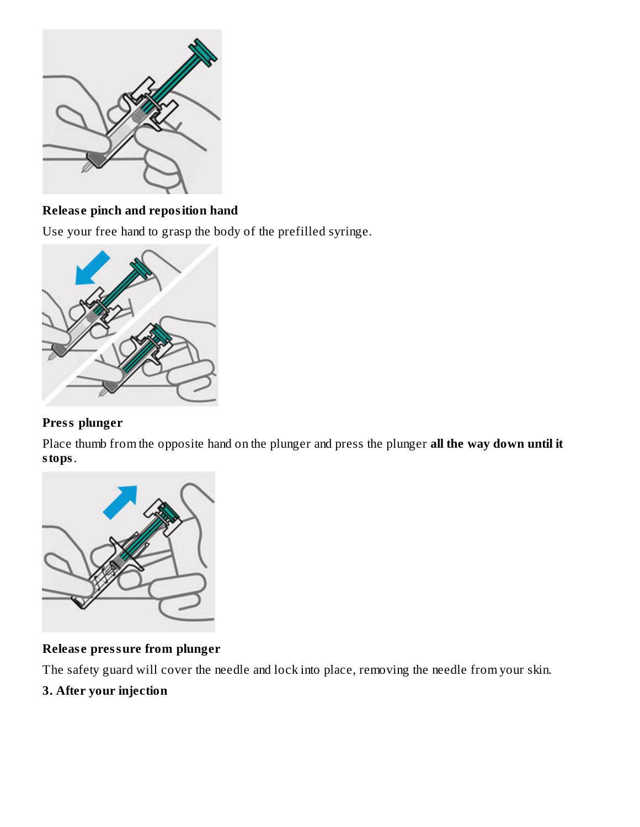

## **Releas e pinch and reposition hand**

Use your free hand to grasp the body of the prefilled syringe.



## **Press plunger**

Place thumb from the opposite hand on the plunger and press the plunger **all the way down until it stops**.



#### **Releas e pressure from plunger**

The safety guard will cover the needle and lock into place, removing the needle from your skin.

## **3. After your injection**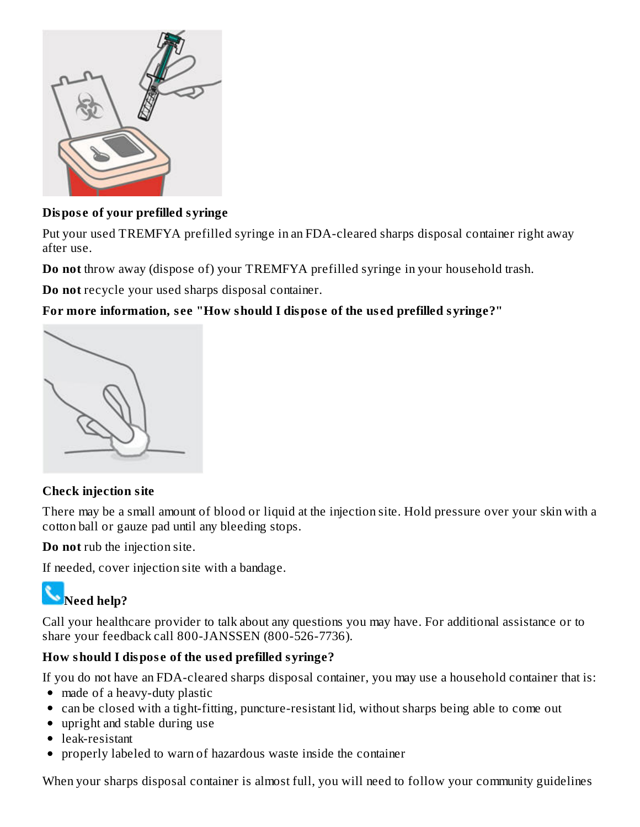

## **Dispos e of your prefilled syringe**

Put your used TREMFYA prefilled syringe in an FDA-cleared sharps disposal container right away after use.

**Do not** throw away (dispose of) your TREMFYA prefilled syringe in your household trash.

**Do not** recycle your used sharps disposal container.

## **For more information, s ee "How should I dispos e of the us ed prefilled syringe?"**



#### **Check injection site**

There may be a small amount of blood or liquid at the injection site. Hold pressure over your skin with a cotton ball or gauze pad until any bleeding stops.

**Do not** rub the injection site.

If needed, cover injection site with a bandage.

# **Need help?**

Call your healthcare provider to talk about any questions you may have. For additional assistance or to share your feedback call 800-JANSSEN (800-526-7736).

## **How should I dispos e of the us ed prefilled syringe?**

If you do not have an FDA-cleared sharps disposal container, you may use a household container that is:

- made of a heavy-duty plastic
- can be closed with a tight-fitting, puncture-resistant lid, without sharps being able to come out
- upright and stable during use
- leak-resistant
- properly labeled to warn of hazardous waste inside the container

When your sharps disposal container is almost full, you will need to follow your community guidelines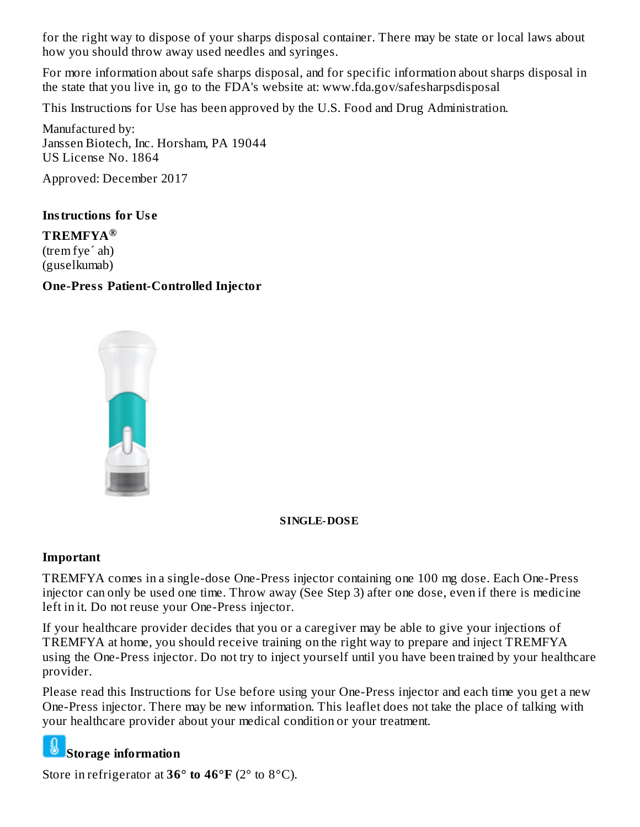for the right way to dispose of your sharps disposal container. There may be state or local laws about how you should throw away used needles and syringes.

For more information about safe sharps disposal, and for specific information about sharps disposal in the state that you live in, go to the FDA's website at: www.fda.gov/safesharpsdisposal

This Instructions for Use has been approved by the U.S. Food and Drug Administration.

Manufactured by: Janssen Biotech, Inc. Horsham, PA 19044 US License No. 1864

Approved: December 2017

#### **Instructions for Us e**

**TREMFYA ®**(trem fye´ ah) (guselkumab)

#### **One-Press Patient-Controlled Injector**



#### **SINGLE-DOSE**

#### **Important**

TREMFYA comes in a single-dose One-Press injector containing one 100 mg dose. Each One-Press injector can only be used one time. Throw away (See Step 3) after one dose, even if there is medicine left in it. Do not reuse your One-Press injector.

If your healthcare provider decides that you or a caregiver may be able to give your injections of TREMFYA at home, you should receive training on the right way to prepare and inject TREMFYA using the One-Press injector. Do not try to inject yourself until you have been trained by your healthcare provider.

Please read this Instructions for Use before using your One-Press injector and each time you get a new One-Press injector. There may be new information. This leaflet does not take the place of talking with your healthcare provider about your medical condition or your treatment.

## **Storage information**

Store in refrigerator at **36° to 46°F** (2° to 8°C).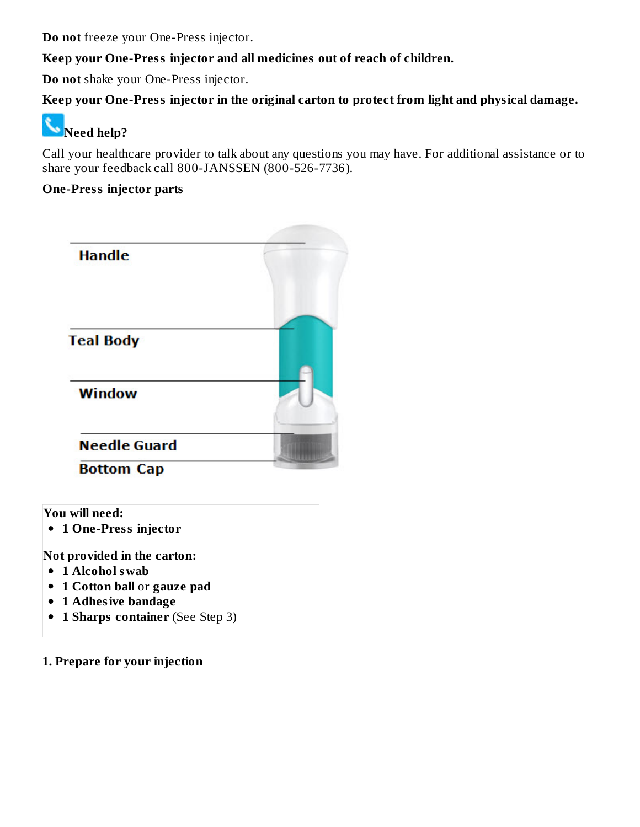**Do not** freeze your One-Press injector.

#### **Keep your One-Press injector and all medicines out of reach of children.**

**Do not** shake your One-Press injector.

## **Keep your One-Press injector in the original carton to protect from light and physical damage.**

# **Need help?**

Call your healthcare provider to talk about any questions you may have. For additional assistance or to share your feedback call 800-JANSSEN (800-526-7736).

#### **One-Press injector parts**

| <b>Handle</b>                            |  |
|------------------------------------------|--|
| <b>Teal Body</b>                         |  |
| <b>Window</b>                            |  |
| <b>Needle Guard</b><br><b>Bottom Cap</b> |  |

**You will need:**

**1 One-Press injector**

**Not provided in the carton:**

- **1 Alcohol swab**
- **1 Cotton ball** or **gauze pad**
- **1 Adhesive bandage**
- **1 Sharps container** (See Step 3)
- **1. Prepare for your injection**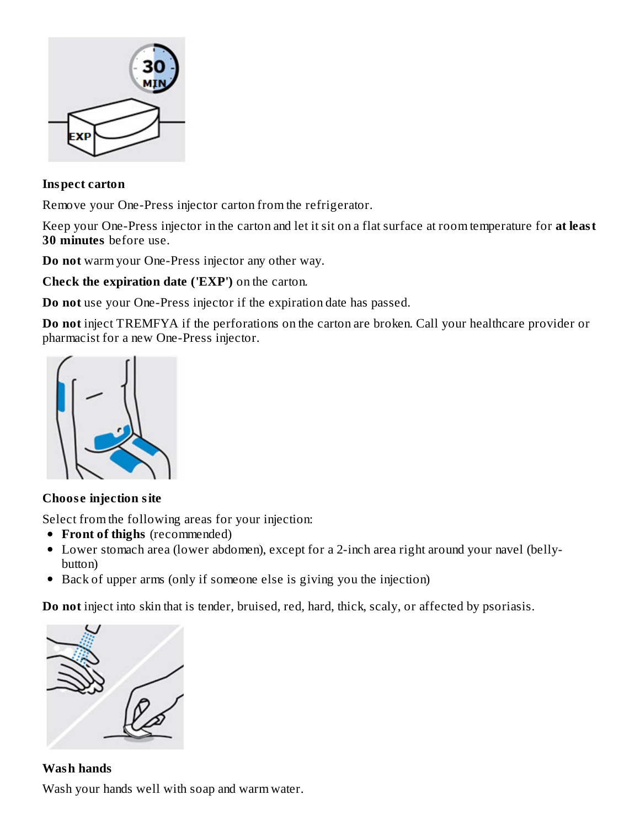

#### **Inspect carton**

Remove your One-Press injector carton from the refrigerator.

Keep your One-Press injector in the carton and let it sit on a flat surface at room temperature for **at least 30 minutes** before use.

**Do not** warm your One-Press injector any other way.

**Check the expiration date ('EXP')** on the carton.

**Do not** use your One-Press injector if the expiration date has passed.

**Do not** inject TREMFYA if the perforations on the carton are broken. Call your healthcare provider or pharmacist for a new One-Press injector.



#### **Choos e injection site**

Select from the following areas for your injection:

- **Front of thighs** (recommended)
- Lower stomach area (lower abdomen), except for a 2-inch area right around your navel (bellybutton)
- Back of upper arms (only if someone else is giving you the injection)

**Do not** inject into skin that is tender, bruised, red, hard, thick, scaly, or affected by psoriasis.



**Wash hands** Wash your hands well with soap and warm water.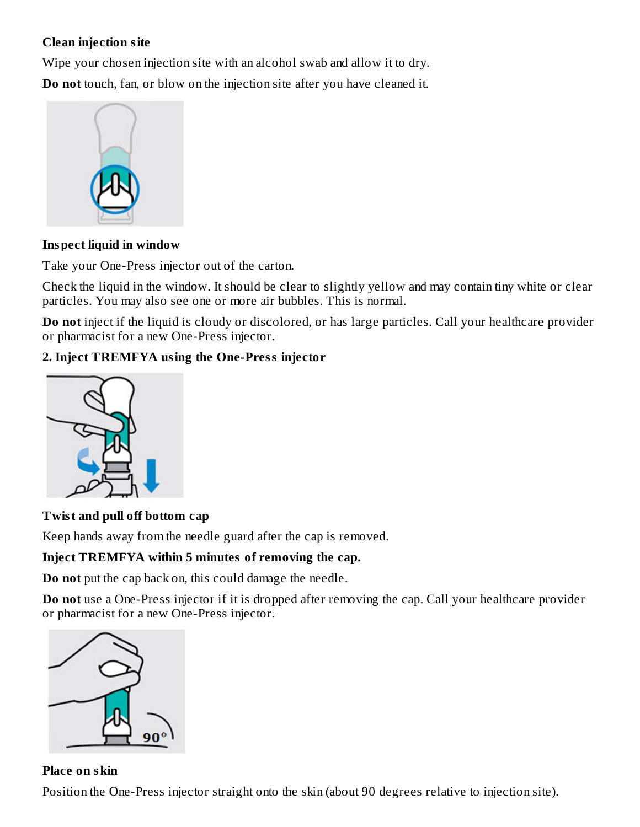#### **Clean injection site**

Wipe your chosen injection site with an alcohol swab and allow it to dry.

**Do not** touch, fan, or blow on the injection site after you have cleaned it.



#### **Inspect liquid in window**

Take your One-Press injector out of the carton.

Check the liquid in the window. It should be clear to slightly yellow and may contain tiny white or clear particles. You may also see one or more air bubbles. This is normal.

**Do not** inject if the liquid is cloudy or discolored, or has large particles. Call your healthcare provider or pharmacist for a new One-Press injector.

## **2. Inject TREMFYA using the One-Press injector**



#### **Twist and pull off bottom cap**

Keep hands away from the needle guard after the cap is removed.

#### **Inject TREMFYA within 5 minutes of removing the cap.**

**Do not** put the cap back on, this could damage the needle.

**Do not** use a One-Press injector if it is dropped after removing the cap. Call your healthcare provider or pharmacist for a new One-Press injector.



#### **Place on skin**

Position the One-Press injector straight onto the skin (about 90 degrees relative to injection site).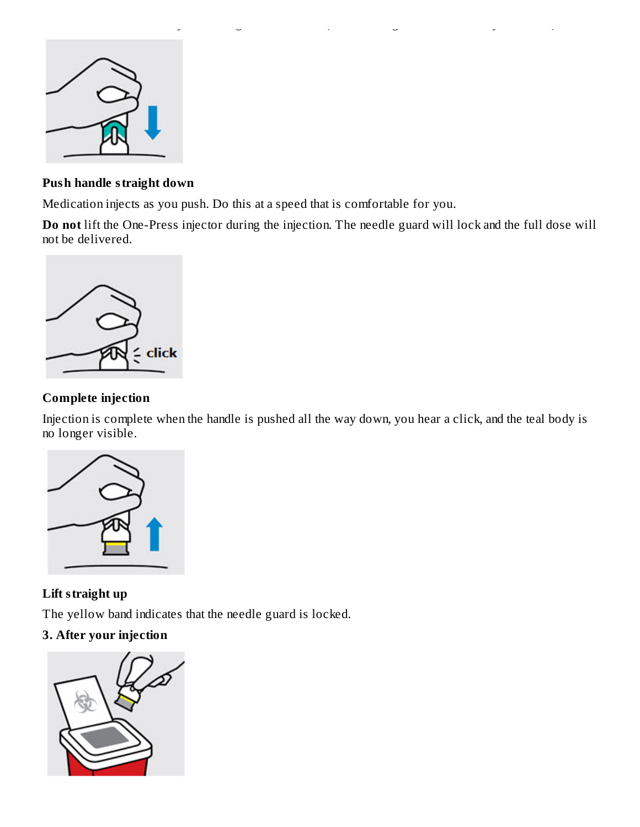

#### **Push handle straight down**

Medication injects as you push. Do this at a speed that is comfortable for you.

**Do not** lift the One-Press injector during the injection. The needle guard will lock and the full dose will not be delivered.

Position the One-Press injector straight onto the skin (about 90 degrees relative to injection site).



## **Complete injection**

Injection is complete when the handle is pushed all the way down, you hear a click, and the teal body is no longer visible.



## **Lift straight up**

The yellow band indicates that the needle guard is locked.

## **3. After your injection**

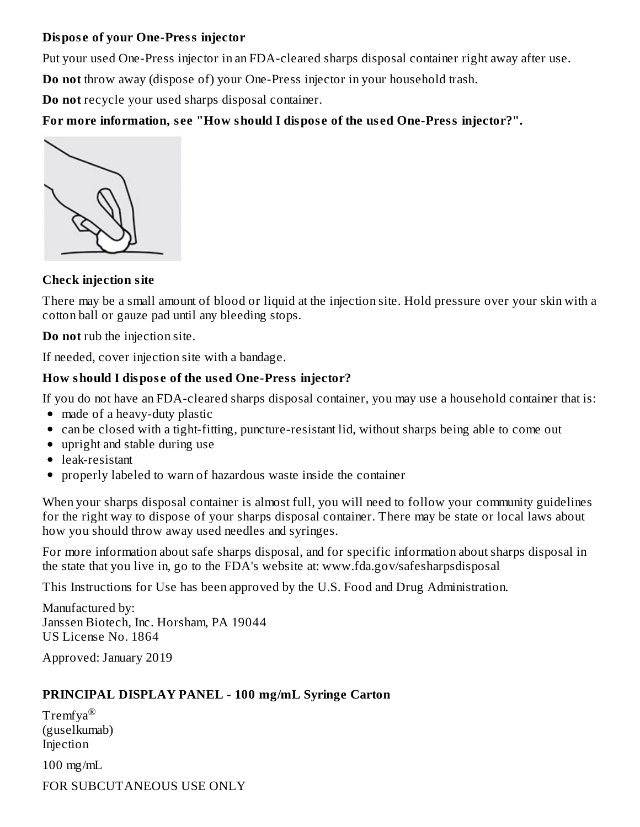#### **Dispos e of your One-Press injector**

Put your used One-Press injector in an FDA-cleared sharps disposal container right away after use.

**Do not** throw away (dispose of) your One-Press injector in your household trash.

**Do not** recycle your used sharps disposal container.

**For more information, s ee "How should I dispos e of the us ed One-Press injector?".**



## **Check injection site**

There may be a small amount of blood or liquid at the injection site. Hold pressure over your skin with a cotton ball or gauze pad until any bleeding stops.

**Do not** rub the injection site.

If needed, cover injection site with a bandage.

## **How should I dispos e of the us ed One-Press injector?**

If you do not have an FDA-cleared sharps disposal container, you may use a household container that is:

- made of a heavy-duty plastic
- can be closed with a tight-fitting, puncture-resistant lid, without sharps being able to come out
- upright and stable during use
- leak-resistant
- properly labeled to warn of hazardous waste inside the container

When your sharps disposal container is almost full, you will need to follow your community guidelines for the right way to dispose of your sharps disposal container. There may be state or local laws about how you should throw away used needles and syringes.

For more information about safe sharps disposal, and for specific information about sharps disposal in the state that you live in, go to the FDA's website at: www.fda.gov/safesharpsdisposal

This Instructions for Use has been approved by the U.S. Food and Drug Administration.

Manufactured by: Janssen Biotech, Inc. Horsham, PA 19044 US License No. 1864

Approved: January 2019

## **PRINCIPAL DISPLAY PANEL - 100 mg/mL Syringe Carton**

 $\mathrm{Tremfya}^{\circledR}$ (guselkumab) Injection 100 mg/mL FOR SUBCUTANEOUS USE ONLY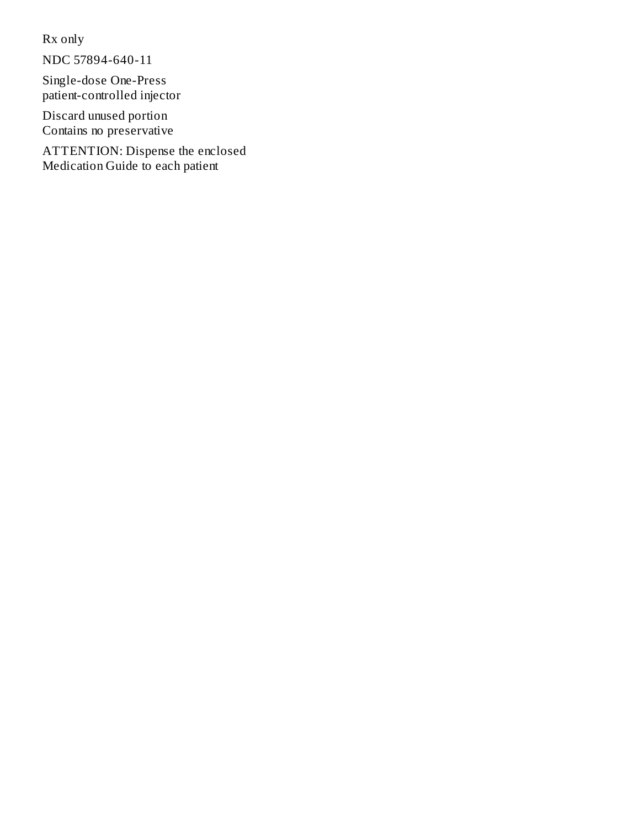Rx only

NDC 57894-640-11

Single-dose One-Press patient-controlled injector

Discard unused portion Contains no preservative

ATTENTION: Dispense the enclosed Medication Guide to each patient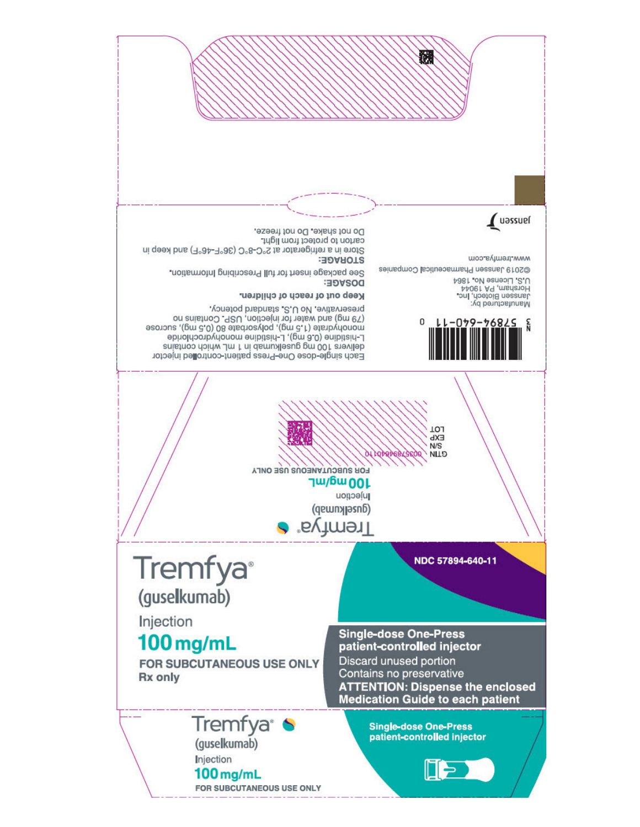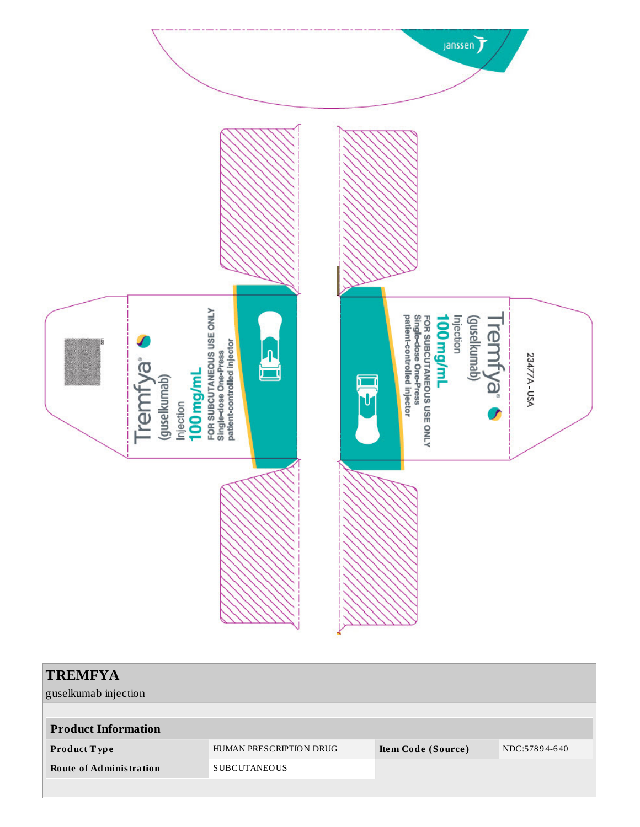

| TREMFYA<br>guselkumab injection |                         |                    |               |
|---------------------------------|-------------------------|--------------------|---------------|
|                                 |                         |                    |               |
| <b>Product Information</b>      |                         |                    |               |
| Product Type                    | HUMAN PRESCRIPTION DRUG | Item Code (Source) | NDC:57894-640 |
| <b>Route of Administration</b>  | <b>SUBCUTANEOUS</b>     |                    |               |
|                                 |                         |                    |               |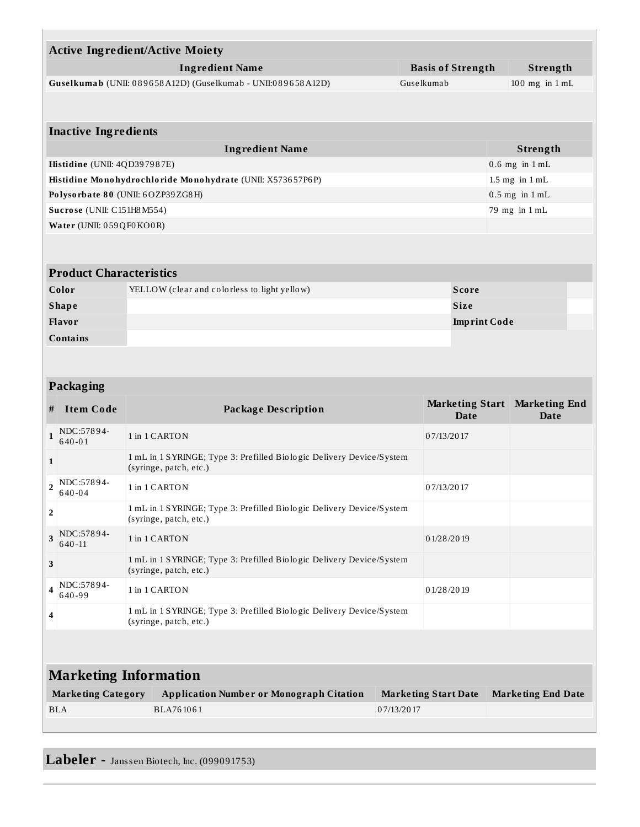|                          |                                                    | <b>Active Ingredient/Active Moiety</b>                                                         |            |                                |                              |  |
|--------------------------|----------------------------------------------------|------------------------------------------------------------------------------------------------|------------|--------------------------------|------------------------------|--|
|                          | <b>Ingredient Name</b><br><b>Basis of Strength</b> |                                                                                                |            | Strength                       |                              |  |
|                          |                                                    | Guselkumab (UNII: 089658A12D) (Guselkumab - UNII:089658A12D)<br>Guselkumab                     |            |                                | $100$ mg in $1$ mL           |  |
|                          |                                                    |                                                                                                |            |                                |                              |  |
|                          |                                                    |                                                                                                |            |                                |                              |  |
|                          | <b>Inactive Ingredients</b>                        |                                                                                                |            |                                |                              |  |
|                          |                                                    | <b>Ingredient Name</b>                                                                         |            |                                | Strength                     |  |
|                          | Histidine (UNII: 4QD397987E)                       |                                                                                                |            |                                | $0.6$ mg in $1$ mL           |  |
|                          |                                                    | Histidine Monohydrochloride Monohydrate (UNII: X573657P6P)                                     |            |                                | $1.5$ mg in $1$ mL           |  |
|                          |                                                    | Polysorbate 80 (UNII: 6OZP39ZG8H)                                                              |            |                                | $0.5$ mg in $1$ mL           |  |
|                          | Sucrose (UNII: C151H8 M554)                        |                                                                                                |            |                                | 79 mg in 1 mL                |  |
| Water (UNII: 059QF0KO0R) |                                                    |                                                                                                |            |                                |                              |  |
|                          |                                                    |                                                                                                |            |                                |                              |  |
|                          |                                                    |                                                                                                |            |                                |                              |  |
|                          | <b>Product Characteristics</b>                     |                                                                                                |            |                                |                              |  |
|                          | Color                                              | YELLOW (clear and colorless to light yellow)                                                   |            | <b>Score</b>                   |                              |  |
|                          | <b>Shape</b>                                       |                                                                                                |            | Size                           |                              |  |
|                          | Flavor                                             |                                                                                                |            | <b>Imprint Code</b>            |                              |  |
|                          | <b>Contains</b>                                    |                                                                                                |            |                                |                              |  |
|                          |                                                    |                                                                                                |            |                                |                              |  |
|                          |                                                    |                                                                                                |            |                                |                              |  |
|                          | Packaging                                          |                                                                                                |            |                                |                              |  |
| #                        | <b>Item Code</b>                                   | <b>Package Description</b>                                                                     |            | <b>Marketing Start</b><br>Date | <b>Marketing End</b><br>Date |  |
| $\mathbf{1}$             | NDC:57894-<br>$640 - 01$                           | 1 in 1 CARTON                                                                                  | 07/13/2017 |                                |                              |  |
| $\mathbf{1}$             |                                                    | 1 mL in 1 SYRINGE; Type 3: Prefilled Biologic Delivery Device/System<br>(syringe, patch, etc.) |            |                                |                              |  |
| $\overline{2}$           | NDC:57894-<br>$640 - 04$                           | 1 in 1 CARTON                                                                                  | 07/13/2017 |                                |                              |  |
| $\overline{2}$           |                                                    | 1 mL in 1 SYRINGE; Type 3: Prefilled Biologic Delivery Device/System                           |            |                                |                              |  |

|                              | $\P_\textbf{4}$  NDC:57894-<br>640-99 | 1 in 1 CARTON                                                                                  | 0 1/28/20 19                |                           |  |  |  |
|------------------------------|---------------------------------------|------------------------------------------------------------------------------------------------|-----------------------------|---------------------------|--|--|--|
| $\overline{4}$               |                                       | 1 mL in 1 SYRINGE; Type 3: Prefilled Biologic Delivery Device/System<br>(syringe, patch, etc.) |                             |                           |  |  |  |
|                              |                                       |                                                                                                |                             |                           |  |  |  |
| <b>Marketing Information</b> |                                       |                                                                                                |                             |                           |  |  |  |
|                              | <b>Marketing Category</b>             | <b>Application Number or Monograph Citation</b>                                                | <b>Marketing Start Date</b> | <b>Marketing End Date</b> |  |  |  |
|                              | <b>BLA</b>                            | BLA761061                                                                                      | 07/13/2017                  |                           |  |  |  |
|                              |                                       |                                                                                                |                             |                           |  |  |  |

1 in 1 CARTON 0 1/28 /20 19

1 mL in 1 SYRINGE; Type 3: Prefilled Bio lo gic Delivery Device/System

## Labeler - Janssen Biotech, Inc. (099091753)

(syringe, patch, etc.)

(syringe, patch, etc.)

**3** NDC:57894-6 40 -11

**3**